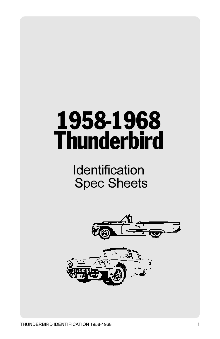# 1958-1968 **Thunderbird**



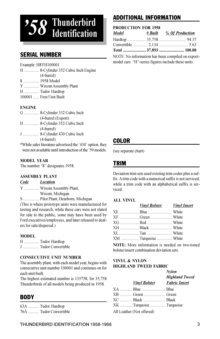

## SERIAL NUMBER

Example: H8YH100001

H ............... 8-Cylinder 352 Cubic Inch Engine (4-barrel) 8 ................ 1958 Model Y ............... Wixom Assembly Plant H ............... Tudor Hardtop 100001 ...... First Unit Built

#### ENGINE

| G  8-Cylinder 332 Cubic Inch |
|------------------------------|
| (4-barrel (Export)           |
| H  8-Cylinder 352 Cubic Inch |
| $(4-barrel)$                 |
| J  8-Cylinder 430 Cubic Inch |
| $(4-barrel)$                 |
|                              |

\*While sales literature advertised the '430' option, they were not available until introduction of the '59 models.

#### MODEL YEAR

The number "8" designates 1958.

#### ASSEMBLY PLANT

Code Location

- Y ............... Wixom Assembly Plant,
	- Wixom, Michigan

S ................ Pilot Plant, Dearborn, Michigan

(This is where prototype units were manufactured for testing and research; while these cars were not slated for sale to the public, some may have been used by Ford executives/employees, and later released to dealers for sale/dispersal.)

#### MODEL

|   | H  Tudor Hardtop |                   |
|---|------------------|-------------------|
| J |                  | Tudor Convertible |

#### CONSECUTIVE UNIT NUMBER

The assembly plant, with each model year, begins with consecutive unit number 100001 and continues on for each unit built.

The highest estimated number is 135758, for 35,758 Thunderbirds of all models being produced in 1958.

## **RODY**

| 63A  Tudor Hardtop     |
|------------------------|
| 76A  Tudor Convertible |

## ADDITIONAL INFORMATION

#### PRODUCTION FOR 1958

| Model | # Built % Of Production |
|-------|-------------------------|
|       |                         |
|       |                         |
|       | Total  37,893  100.00   |

NOTE: No information has been compiled on exportmodel cars. "H"-series figures include these units.

### COLOR

(see separate chart)

### TRIM

Deviation trim sets used existing trim codes plus a suffix. A trim code with a numerical suffix is not serviced, while a trim code with an alphabetical suffix is serviced.

#### ALL VINYL

| Vinyl Bolster Vinyl Insert |  |
|----------------------------|--|
|                            |  |
|                            |  |
|                            |  |
| XH  Black  White           |  |
|                            |  |
| XM  Turquoise  White       |  |
|                            |  |

NOTE: More information is needed on two-toned bolster/insert combination deviation sets.

#### VINYL & NYLON HIGHLAND TWEED FABRIC

|                           | <b>Nylon</b><br><b>Highland Tweed</b> |  |
|---------------------------|---------------------------------------|--|
|                           | <b>Vinyl Bolster</b> Fabric Insert    |  |
|                           |                                       |  |
|                           |                                       |  |
|                           |                                       |  |
| XK  Turquoise  Turquoise  |                                       |  |
| All Leather (Not offered) |                                       |  |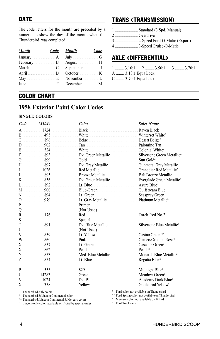The code letters for the month are preceded by a numeral to show the day of the month when the Thunderbird was completed.

| <b>Month</b> | Code Month   | Code |
|--------------|--------------|------|
|              |              |      |
|              |              |      |
|              | September  J |      |
|              |              |      |
|              |              |      |
|              |              |      |

## TRANS (TRANSMISSION)

1 ....................... Standard (3 Spd. Manual) 2 ....................... Overdrive 3 ....................... 2-Speed Ford-O-Matic (Export) 4 ....................... 3-Speed Cruise-O-Matic

## AXLE (DIFFERENTIAL)

 $1$  .........  $3.10:1$  2 .........  $3.56:1$  3 .........  $3.70:1$ A ........ 3.10:1 Equa Lock C ........ 3.70:1 Equa Lock

## COLOR CHART

## 1958 Exterior Paint Color Codes

#### SINGLE COLORS

| Code | <i>M30J#</i>                                                                                 | Color                                                            | <b>Sales Name</b>                                                                                                       |
|------|----------------------------------------------------------------------------------------------|------------------------------------------------------------------|-------------------------------------------------------------------------------------------------------------------------|
|      |                                                                                              |                                                                  |                                                                                                                         |
|      |                                                                                              |                                                                  |                                                                                                                         |
|      |                                                                                              |                                                                  |                                                                                                                         |
|      |                                                                                              |                                                                  |                                                                                                                         |
|      |                                                                                              |                                                                  |                                                                                                                         |
|      |                                                                                              |                                                                  |                                                                                                                         |
|      |                                                                                              |                                                                  |                                                                                                                         |
|      |                                                                                              |                                                                  |                                                                                                                         |
|      |                                                                                              |                                                                  |                                                                                                                         |
|      |                                                                                              |                                                                  |                                                                                                                         |
|      |                                                                                              |                                                                  |                                                                                                                         |
|      |                                                                                              |                                                                  |                                                                                                                         |
|      |                                                                                              |                                                                  |                                                                                                                         |
|      |                                                                                              |                                                                  |                                                                                                                         |
|      |                                                                                              |                                                                  |                                                                                                                         |
|      |                                                                                              |                                                                  |                                                                                                                         |
|      |                                                                                              |                                                                  |                                                                                                                         |
|      |                                                                                              |                                                                  |                                                                                                                         |
|      |                                                                                              |                                                                  |                                                                                                                         |
|      |                                                                                              |                                                                  |                                                                                                                         |
|      |                                                                                              |                                                                  |                                                                                                                         |
|      |                                                                                              |                                                                  |                                                                                                                         |
|      |                                                                                              |                                                                  |                                                                                                                         |
|      |                                                                                              |                                                                  |                                                                                                                         |
|      |                                                                                              |                                                                  |                                                                                                                         |
|      |                                                                                              |                                                                  |                                                                                                                         |
|      |                                                                                              |                                                                  |                                                                                                                         |
|      |                                                                                              |                                                                  |                                                                                                                         |
|      |                                                                                              |                                                                  |                                                                                                                         |
|      |                                                                                              |                                                                  |                                                                                                                         |
|      |                                                                                              |                                                                  |                                                                                                                         |
|      |                                                                                              |                                                                  |                                                                                                                         |
|      | <sup>1</sup> Thunderbird-only colors<br><sup>2</sup> Thunderbird & Lincoln Continental color |                                                                  | <sup>4</sup> Ford color, not available on Thunderbird<br><sup>4 A</sup> Ford Spring color, not available on Thunderbird |
|      |                                                                                              | <sup>2 A</sup> Thunderbird, Linealn Continental & Marsury solars | <sup>5</sup> Mercury color, not available on T-Rird                                                                     |

<sup>2</sup> A Thunderbird, Lincoln Continental & Mercury colors<br><sup>3</sup> Lincoln-only color, available on T-bird by special or <sup>3</sup> Lincoln-only color, available on T-bird by special order

not available on T-Bird <sup>6</sup> Ford Truck only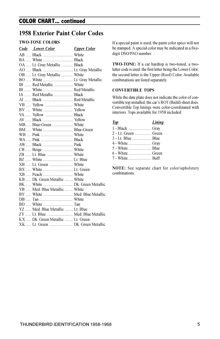## COLOR CHART... continued

## 1958 Exterior Paint Color Codes

#### TWO-TONE COLORS

| <b>Code</b> Lower Color           | <u>Upper Color</u> |
|-----------------------------------|--------------------|
| AB  Black  White                  |                    |
| BA  White  Black                  |                    |
| OA  Lt. Gray Metallic  Black      |                    |
|                                   |                    |
| OB  Lt. Gray Metallic  White      |                    |
|                                   |                    |
| IB  Red Metallic  White           |                    |
| BI  White  Red Metallic           |                    |
| IA  Red Metallic  Black           |                    |
| AI  Black  Red Metallic           |                    |
|                                   |                    |
|                                   |                    |
| VA  Yellow  Black                 |                    |
|                                   |                    |
| MB  Blue-Green  White             |                    |
| BM  White  Blue-Green             |                    |
|                                   |                    |
|                                   |                    |
|                                   |                    |
|                                   |                    |
|                                   |                    |
|                                   |                    |
|                                   |                    |
|                                   |                    |
|                                   |                    |
| KB  Dk. Green Metallic  White     |                    |
|                                   |                    |
| YB  Med. Blue Metallic  White     |                    |
| BY  White  Med. Blue Metallic     |                    |
|                                   |                    |
|                                   |                    |
| YZ  Med. Blue Metallic  Lt. Blue  |                    |
| ZY  Lt. Blue  Med. Blue Metallic  |                    |
| KX  Dk. Green Metallic  Lt. Green |                    |
|                                   |                    |
|                                   |                    |

If a special paint is used, the paint color specs will not be stamped. A special color may be indicated in a fivedigit DSO/PAO number.

TWO-TONE: If a car hardtop is two-toned, a twoletter code is used: the first letter being the Lower Color; the second letter is the Upper (Roof) Color. Available combinations are listed separately.

#### CONVERTIBLE TOPS

While the date plate does not indicate the color of convertible top installed, the car's ROT (Build) sheet does. Convertible Top linings were color-coordinated with interiors. Tops available for 1958 included:

| Top | Lining |
|-----|--------|
|     |        |
|     |        |
|     |        |
|     |        |
|     |        |
|     |        |
|     |        |

NOTE: See separate chart for color/upholstery combinations.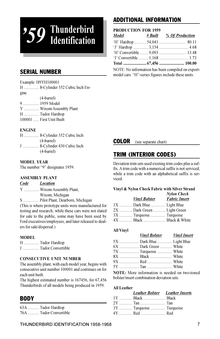# '59 Thunderbird Identification

## SERIAL NUMBER

Example: H9YH100001

H ............... 8-Cylinder 352 Cubic Inch Engine (4-barrel) 9 ................ 1959 Model Y ............... Wixom Assembly Plant H ............... Tudor Hardtop 100001 ...... First Unit Built

#### ENGINE

|  | H  8-Cylinder 352 Cubic Inch |
|--|------------------------------|
|  | $(4\t-bar)$                  |
|  | J  8-Cylinder 430 Cubic Inch |
|  | $(4\t-bar)$                  |

#### MODEL YEAR

The number "9" designates 1959.

#### ASSEMBLY PLANT

#### Code Location

Y ............... Wixom Assembly Plant, Wixom, Michigan

S ................ Pilot Plant, Dearborn, Michigan

(This is where prototype units were manufactured for testing and research; while these cars were not slated for sale to the public, some may have been used by Ford executives/employees, and later released to dealers for sale/dispersal.)

#### MODEL

H ............... Tudor Hardtop J ................ Tudor Convertible

#### CONSECUTIVE UNIT NUMBER

The assembly plant, with each model year, begins with consecutive unit number 100001 and continues on for each unit built.

The highest estimated number is 167456, for 67,456 Thunderbirds of all models being produced in 1959.

## BODY

| 63A  Tudor Hardtop     |
|------------------------|
| 76A  Tudor Convertible |

## ADDITIONAL INFORMATION

#### PRODUCTION FOR 1959

| <b>Model</b>                                        |  | # Built % Of Production                           |
|-----------------------------------------------------|--|---------------------------------------------------|
|                                                     |  |                                                   |
|                                                     |  |                                                   |
|                                                     |  |                                                   |
|                                                     |  |                                                   |
|                                                     |  |                                                   |
|                                                     |  | NOTE: No information has been compiled on export- |
| model cars. "H" series figures include these units. |  |                                                   |

**COLOR** (see separate chart)

## TRIM (INTERIOR CODES)

Deviation trim sets used existing trim codes plus a suffix. A trim code with a numerical suffix is not serviced, while a trim code with an alphabetical suffix is serviced.

#### Vinyl & Nylon Check Fabric with Silver Strand

| <b>Vinyl Bolster</b>        | <b>Nylon Check</b><br><b>Fabric Insert</b> |
|-----------------------------|--------------------------------------------|
| 1X  Dark Blue  Light Blue   |                                            |
| 2X  Dark Green  Light Green |                                            |
| 3X  Turquoise  Turquoise    |                                            |
| 4X  Black  Black & White    |                                            |

#### All Vinyl

| <b>Vinyl Bolster <i>Vinyl Insert</i></b> |  |
|------------------------------------------|--|
| 5X  Dark Blue  Light Blue                |  |
|                                          |  |
|                                          |  |
|                                          |  |
|                                          |  |
|                                          |  |
|                                          |  |

NOTE: More information is needed on two-toned bolster/insert combination deviation sets.

#### All Leather

| Leather Bolster Leather Inserts |  |
|---------------------------------|--|
| 1Y  Black  Black                |  |
|                                 |  |
| 3Y  Turquoise  Turquoise        |  |
|                                 |  |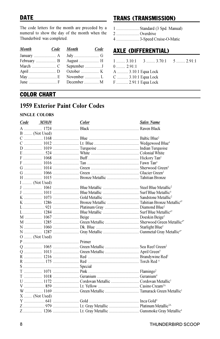## **DATE**

The code letters for the month are preceded by a numeral to show the day of the month when the Thunderbird was completed.

| <b>Month</b> | Code Month | Code |
|--------------|------------|------|
|              |            |      |
|              |            |      |
|              |            |      |
|              |            |      |
|              |            |      |
|              |            |      |

## **TRANS (TRANSMISSION)**

1 ........................ Standard (3 Spd. Manual)

- 2 ....................... Overdrive
- 4 ........................ 3-Speed Cruise-O-Matic

## **AXLE (DIFFERENTIAL)**

|                     | $1$ 3.10:1 3  3.70:1 5  2.91:1 |
|---------------------|--------------------------------|
| $0$ 2.91:1          |                                |
| A  3.10:1 Equa Lock |                                |
| C  3.10:1 Equa Lock |                                |
| F  2.91:1 Equa Lock |                                |

## **COLOR CHART**

## **1959 Exterior Paint Color Codes**

#### **SINGLE COLORS**

| Code | M30J#          | Color | <b>Sales Name</b> |
|------|----------------|-------|-------------------|
|      |                |       |                   |
|      | B  (Not Used)  |       |                   |
|      |                |       |                   |
|      |                |       |                   |
|      |                |       |                   |
|      |                |       |                   |
|      |                |       |                   |
|      |                |       |                   |
|      |                |       |                   |
|      |                |       |                   |
|      |                |       |                   |
|      | $I$ (Not Used) |       |                   |
|      |                |       |                   |
|      |                |       |                   |
|      |                |       |                   |
|      |                |       |                   |
|      |                |       |                   |
|      |                |       |                   |
|      |                |       |                   |
|      |                |       |                   |
|      |                |       |                   |
|      |                |       |                   |
|      | O  (Not Used)  |       |                   |
|      |                |       |                   |
|      |                |       |                   |
|      |                |       |                   |
|      |                |       |                   |
|      |                |       |                   |
|      |                |       |                   |
|      |                |       |                   |
|      |                |       |                   |
|      |                |       |                   |
|      |                |       |                   |
|      |                |       |                   |
|      | $X$ (Not Used) |       |                   |
|      |                |       |                   |
|      |                |       |                   |
|      |                |       |                   |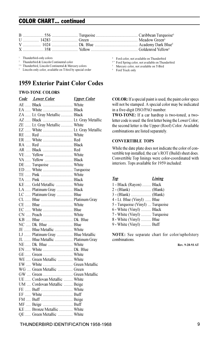## COLOR CHART... continued

<sup>1</sup> Thunderbird-only colors

<sup>2</sup> Thunderbird & Lincoln Continental color

<sup>2A</sup> Thunderbird, Lincoln Continental & Mercury colors

<sup>3</sup> Lincoln-only color, available on T-bird by special order

## 1959 Exterior Paint Color Codes

#### TWO-TONE COLORS

| <b>Code</b> Lower Color <b>Color</b> Upper Color |  |
|--------------------------------------------------|--|
|                                                  |  |
| EA  White  Black                                 |  |
| ZA  Lt. Gray Metallic  Black                     |  |
| AZ  Black  Lt. Gray Metallic                     |  |
| ZE  Lt. Gray Metallic  White                     |  |
|                                                  |  |
|                                                  |  |
|                                                  |  |
|                                                  |  |
| AR  Black  Red                                   |  |
| VE Yellow  White                                 |  |
| VA  Yellow  Black                                |  |
| DE  Turquoise  White                             |  |
| ED  White  Turquoise                             |  |
|                                                  |  |
|                                                  |  |
| KE Gold Metallic  White                          |  |
| LA  Platinum Gray  Black                         |  |
| LC  Platinum Gray  Blue                          |  |
|                                                  |  |
| CE  Blue  White                                  |  |
| EC  White  Blue                                  |  |
|                                                  |  |
|                                                  |  |
| NC  Dk. Blue  Blue                               |  |
| JE  Blue Metallic  White                         |  |
| LJ  Platinum Gray  Blue Metallic                 |  |
| JL  Blue Metallic  Platinum Gray                 |  |
|                                                  |  |
| EN  White  Dk. Blue                              |  |
|                                                  |  |
| WE  Green Metallic  White                        |  |
| EW  White  Green Metallic                        |  |
| WG  Green Metallic  Green                        |  |
|                                                  |  |
| UE  Cordovan Metallic  White                     |  |
| UM  Cordovan Metallic  Beige                     |  |
|                                                  |  |
|                                                  |  |
|                                                  |  |
| MF  Beige  Buff                                  |  |
| KE Bronze Metallic  White                        |  |
| QE  Green Metallic  White                        |  |

<sup>4</sup> Ford color, not available on Thunderbird

- 4 \* Ford Spring color, not available on Thunderbird
- <sup>5</sup> Mercury color, not available on T-Bird
- <sup>6</sup> Ford Truck only

COLOR: If a special paint is used, the paint color specs will not be stamped. A special color may be indicated in a five-digit DSO/PAO number.

TWO-TONE: If a car hardtop is two-toned, a twoletter code is used: the first letter being the Lower Color; the second letter is the Upper (Roof) Color. Available combinations are listed separately.

#### CONVERTIBLE TOPS

While the date plate does not indicate the color of convertible top installed, the car's ROT (Build) sheet does. Convertible Top linings were color-coordinated with interiors. Tops available for 1959 included:

| Lining                           |
|----------------------------------|
| 1 - Black (Rayon)  Black         |
|                                  |
|                                  |
| 4 - Lt. Blue (Vinyl)  Blue       |
| 5 - Turquoise (Vinyl)  Turquoise |
| 6 - White (Vinyl)  Black         |
| 7 - White (Vinyl)  Turquoise     |
| 8 - White (Vinyl)  Blue          |
| 9 - White (Vinyl)  Buff          |
|                                  |

NOTE: See separate chart for color/upholstery combinations.

Rev. 9-28-93 AT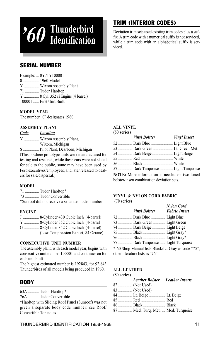# '60 Thunderbird Identification

## TRIM (INTERIOR CODES)

Deviation trim sets used existing trim codes plus a suffix. A trim code with a numerical suffix is not serviced, while a trim code with an alphabetical suffix is serviced.

## SERIAL NUMBER

| Example:  0Y71Y100001              |
|------------------------------------|
| 0  1960 Model                      |
| Y  Wixom Assembly Plant            |
| 71  Tudor Hardtop                  |
| Y  8 Cyl. 352 ci Engine (4 barrel) |
| 100001  First Unit Built           |

#### MODEL YEAR

The number "0" designates 1960.

#### ASSEMBLY PLANT

| Code | <b>Location</b>                    |
|------|------------------------------------|
|      | Y  Wixom Assembly Plant,           |
|      | Wixom, Michigan                    |
|      | S  Pilot Plant, Dearborn, Michigan |
|      |                                    |

(This is where prototype units were manufactured for testing and research; while these cars were not slated for sale to the public, some may have been used by Ford executives/employees, and later released to dealers for sale/dispersal.)

#### MODEL

71 .............. Tudor Hardtop\* 73 .............. Tudor Convertible \*Sunroof did not receive a separate model number

#### ENGINE

| J 8-Cylinder 430 Cubic Inch (4-barrel)  |  |
|-----------------------------------------|--|
| Y  8-Cylinder 352 Cubic Inch (4-barrel  |  |
| G  8-Cylinder 352 Cubic Inch (4-barrel) |  |
| (Low Compression Export, 84 Octane)     |  |

#### CONSECUTIVE UNIT NUMBER

The assembly plant, with each model year, begins with consecutive unit number 100001 and continues on for each unit built.

The highest estimated number is 192843, for 92,843 Thunderbirds of all models being produced in 1960.

## **BODY**

63A ........... Tudor Hardtop\*

76A ........... Tudor Convertible

\*Hardtop with Sliding Roof Panel (Sunroof) was not given a separate body code number: see Roof/ Convertible Top notes.

### ALL VINYL

#### (50 series) Vinyl Bolster Vinyl Insert 52 .............. Dark Blue ...................... Light Blue 53 .............. Dark Green .................... Lt. Green Met. 54 .............. Dark Beige ..................... Light Beige 55 .............. Red ................................ White 56 .............. Black .............................. White 57 .............. Dark Turquoise ............. Light Turquoise

NOTE: More information is needed on two-toned bolster/insert combination deviation sets.

#### VINYL & NYLON CORD FABRIC (70 series) Nylon Cord

| <b>Vinyl Bolster</b>                | <b>Nylon Cord</b><br><b>Fabric Insert</b> |
|-------------------------------------|-------------------------------------------|
| 72  Dark Blue  Light Blue           |                                           |
| 73  Dark Green  Light Green         |                                           |
| 74  Dark Beige  Light Beige         |                                           |
|                                     |                                           |
|                                     |                                           |
| 77  Dark Turquoise  Light Turquoise |                                           |

\*'60 Shop Manual lists Black/Lt. Gray as code "75", other literature lists as "76".

#### ALL LEATHER  $(80 \times 1)$

| (OU SEFIES)    |                                        |  |
|----------------|----------------------------------------|--|
|                | <b>Leather Bolster Leather Inserts</b> |  |
| 82  (Not Used) |                                        |  |
| 83  (Not Used) |                                        |  |
|                | 84  Lt. Beige  Lt. Beige               |  |
|                |                                        |  |
|                | 86  Black  Black                       |  |
|                | 87  Med. Turq. Met.  Med. Turquoise    |  |
|                |                                        |  |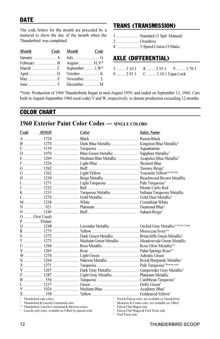The code letters for the month are preceded by a numeral to show the day of the month when the Thunderbird was completed.

| <b>Month</b> | Code Month       | Code |
|--------------|------------------|------|
|              |                  |      |
|              | August  H, V*    |      |
|              | September  J, W* |      |
|              |                  |      |
|              | November  L      |      |
|              |                  |      |

## TRANS (TRANSMISSION)

| 1  Standard (3 Spd. Manual) |  |  |  |
|-----------------------------|--|--|--|
|                             |  |  |  |

- 2 ....................... Overdrive
- 4 ....................... 3-Speed Cruise-O-Matic

## AXLE (DIFFERENTIAL)

| $3$ $3.10:1$                  |  | $8$ 2.91:1 9  3.70:1 |
|-------------------------------|--|----------------------|
| 0  2.91:1 C  3.10:1 Equa Lock |  |                      |

\*Note: Production of 1960 Thunderbirds began in mid-August 1959, and ended on September 13, 1960. Cars built in August-September 1960 used codes V and W, respectively, to denote production exceeding 12 months.

## COLOR CHART

## 1960 Exterior Paint Color Codes — SINGLE COLORS

| <i>M30J</i> #<br>Code                                                                                                   | Color | <b>Sales Name</b>                                                                                   |
|-------------------------------------------------------------------------------------------------------------------------|-------|-----------------------------------------------------------------------------------------------------|
|                                                                                                                         |       |                                                                                                     |
|                                                                                                                         |       |                                                                                                     |
|                                                                                                                         |       |                                                                                                     |
|                                                                                                                         |       |                                                                                                     |
|                                                                                                                         |       | E  1269  Medium Blue Metallic  Acapulco Blue Metallic <sup>2</sup>                                  |
|                                                                                                                         |       |                                                                                                     |
|                                                                                                                         |       |                                                                                                     |
|                                                                                                                         |       |                                                                                                     |
|                                                                                                                         |       |                                                                                                     |
|                                                                                                                         |       |                                                                                                     |
|                                                                                                                         |       |                                                                                                     |
|                                                                                                                         |       |                                                                                                     |
|                                                                                                                         |       |                                                                                                     |
|                                                                                                                         |       |                                                                                                     |
|                                                                                                                         |       |                                                                                                     |
|                                                                                                                         |       |                                                                                                     |
| $O$ (Not Used)                                                                                                          |       |                                                                                                     |
| $P$ Primer                                                                                                              |       |                                                                                                     |
|                                                                                                                         |       | Q  1248  Lavender Metallic  Orchid Gray Metallic <sup>4,5 Ford, Comet</sup>                         |
|                                                                                                                         |       |                                                                                                     |
|                                                                                                                         |       |                                                                                                     |
|                                                                                                                         |       | T  1273  Medium Green Metallic  Meadowyale Green Metallic                                           |
|                                                                                                                         |       |                                                                                                     |
|                                                                                                                         |       |                                                                                                     |
|                                                                                                                         |       |                                                                                                     |
|                                                                                                                         |       | X  1264  Maroon Metallic  Royal Burgundy Metallic <sup>2</sup>                                      |
|                                                                                                                         |       |                                                                                                     |
|                                                                                                                         |       |                                                                                                     |
|                                                                                                                         |       |                                                                                                     |
|                                                                                                                         |       |                                                                                                     |
|                                                                                                                         |       |                                                                                                     |
|                                                                                                                         |       |                                                                                                     |
|                                                                                                                         |       |                                                                                                     |
| <sup>1</sup> Thunderbird-only colors                                                                                    |       | Ford & Falcon color, not available on Thunderbird                                                   |
| <sup>2</sup> Thunderbird & Lincoln Continental color<br><sup>2A</sup> Thunderbird, Lincoln Continental & Mercury colors |       | <sup>5</sup> Monterey & Comet color, not available on T-Bird<br><sup>6</sup> Falcon Club Wagon only |
| <sup>3</sup> Lincoln-only color, available on T-Bird by special order                                                   |       | <sup>7</sup> Falcon Club Wagon & Ford Truck only                                                    |

<sup>8</sup> Ford Truck only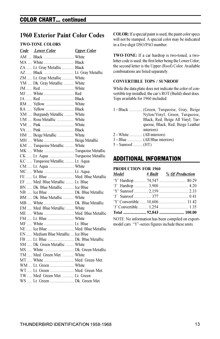### COLOR CHART... continued

## 1960 Exterior Paint Color Codes

#### TWO-TONE COLORS

| Code Lower Color                                           | <b>Upper Color</b> |
|------------------------------------------------------------|--------------------|
| AM  Black  White                                           |                    |
| MA  White  Black                                           |                    |
| ZA  Lt. Gray Metallic  Black                               |                    |
|                                                            |                    |
| ZM  Lt. Gray Metallic  White                               |                    |
| YM  Dk. Gray Metallic  White                               |                    |
|                                                            |                    |
| MJ  White  Red                                             |                    |
|                                                            |                    |
| RM  Yellow  White                                          |                    |
| RA  Yellow  Black                                          |                    |
| XM  Burgundy Metallic  White                               |                    |
| UM  Rose Metallic  White                                   |                    |
| VM  Pink  White                                            |                    |
|                                                            |                    |
| HM  Beige Metallic  White                                  |                    |
|                                                            |                    |
| MH  White  Beige Metallic<br>KM  Turquoise Metallic  White |                    |
| MK  White  Turquoise Metallic                              |                    |
| CK  Lt. Aqua  Turquoise Metallic                           |                    |
| KC  Turquoise Metallic  Lt. Aqua                           |                    |
| CM  Lt. Aqua  White                                        |                    |
| MC  White  Lt. Aqua                                        |                    |
| FE  Lt. Blue  Med. Blue Metallic                           |                    |
| EF  Med. Blue Metallic  Lt. Blue                           |                    |
| BN  Dk. Blue Metallic  Ice Blue                            |                    |
|                                                            |                    |
| BM  Dk. Blue Metallic  White                               |                    |
|                                                            |                    |
| EM  Med. Blue Metallic  White                              |                    |
| ME  White  Med. Blue Metallic                              |                    |
| FM  Lt. Blue  White                                        |                    |
| MF  White  Lt. Blue                                        |                    |
| NE Ice Blue  Med. Blue Metallic                            |                    |
| EN  Medium Blue Metallic  Ice Blue                         |                    |
| FB  Lt. Blue  Dk. Blue Metallic                            |                    |
| SM  Dk. Green Metallic  White                              |                    |
| MS  White  Dk. Green Metallic                              |                    |
| TM  Med. Green Met.  White                                 |                    |
| MT  White  Med. Green Met.                                 |                    |
| WM  Lt. Green  White                                       |                    |
| WT Lt. Green  Med. Green Met.                              |                    |
| TW Med. Green Met.  Lt. Green                              |                    |
| WS  Lt. Green  Dk. Green Met.                              |                    |
|                                                            |                    |

COLOR: If a special paint is used, the paint color specs will not be stamped. A special color may be indicated in a five-digit DSO/PAO number.

TWO-TONE: If a car hardtop is two-toned, a twoletter code is used: the first letter being the Lower Color; the second letter is the Upper (Roof) Color. Available combinations are listed separately.

#### CONVERTIBLE TOPS / SUNROOF

While the data plate does not indicate the color of convertible top installed, the car's ROT (Build) sheet does. Tops available for 1960 included:

| 1 - Black  (Green, Turquoise, Gray, Beige |
|-------------------------------------------|
| Nylon/Vinyl; Green, Turquoise,            |
| Black, Red, Beige All Vinyl; Tur-         |
| quoise, Black, Red, Beige Leather         |
| interiors)                                |
|                                           |
|                                           |
|                                           |

<sup>5 -</sup> Sunroof ......... (HT)

#### ADDITIONAL INFORMATION

#### PRODUCTION FOR 1960

| <b>Model</b>                                      |  | <u># Built % Of Production</u>                      |  |  |
|---------------------------------------------------|--|-----------------------------------------------------|--|--|
|                                                   |  | 'Y' Hardtop  74,547  80.29                          |  |  |
|                                                   |  |                                                     |  |  |
|                                                   |  |                                                     |  |  |
|                                                   |  |                                                     |  |  |
|                                                   |  |                                                     |  |  |
|                                                   |  |                                                     |  |  |
|                                                   |  |                                                     |  |  |
| NOTE: No information has been compiled on export- |  |                                                     |  |  |
|                                                   |  | model cars. "Y" series figures include these units. |  |  |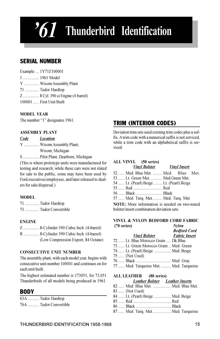## 61 Thunderbird Identification

## SERIAL NUMBER

Example: ... 1Y71Z100001 1 ................ 1961 Model Y ............... Wixom Assembly Plant 71 .............. Tudor Hardtop Z ................ 8 Cyl. 390 ci Engine (4 barrel) 100001 First Unit Built

#### MODEL YEAR

The number "1" designates 1961.

#### ASSEMBLY PLANT

Code Location Y ............... Wixom Assembly Plant, Wixom, Michigan

S ................ Pilot Plant, Dearborn, Michigan

(This is where prototype units were manufactured for testing and research; while these cars were not slated for sale to the public, some may have been used by Ford executives/employees, and later released to dealers for sale/dispersal.)

#### MODEL

71 .............. Tudor Hardtop 73 .............. Tudor Convertible

#### ENGINE

Z ................ 8-Cylinder 390 Cubic Inch (4-barrel) R ............... 8-Cylinder 390 Cubic Inch (4-barrel) (Low Compression Export, 84 Octane)

#### CONSECUTIVE UNIT NUMBER

The assembly plant, with each model year, begins with consecutive unit number 100001 and continues on for each unit built.

The highest estimated number is 173051, for 73,051 Thunderbirds of all models being produced in 1961.

### BODY

| 63A  Tudor Hardtop     |
|------------------------|
| 76A  Tudor Convertible |

## TRIM (INTERIOR CODES)

Deviation trim sets used existing trim codes plus a suffix. A trim code with a numerical suffix is not serviced, while a trim code with an alphabetical suffix is serviced.

#### ALL VINYL (50 series)

|                                                      | <b>Vinyl Bolster Vinyl Insert</b> |  |  |
|------------------------------------------------------|-----------------------------------|--|--|
| 52  Med. Blue Met.  Med. Blue Met.                   |                                   |  |  |
| 53  Lt. Green Met.  Med. Green Met.                  |                                   |  |  |
| 54  Lt. (Pearl) Beige  Lt. (Pearl) Beige             |                                   |  |  |
|                                                      |                                   |  |  |
| 56  Black  Black                                     |                                   |  |  |
| 57  Med. Turq. Met.  Med. Turq. Met.                 |                                   |  |  |
| <b>NOTE:</b> More information is needed on two-toned |                                   |  |  |
| bolster/insert combination deviation sets.           |                                   |  |  |

#### VINYL & NYLON BEDFORD CORD FABRIC (70 series) Nylon

|                                         | <b>Bedford Cord</b> |
|-----------------------------------------|---------------------|
| <b>Vinyl Bolster</b> Fabric Insert      |                     |
| 72  Lt. Blue Morocco Grain  Dk.Blue     |                     |
| 73  Lt. Green Morocco Grain  Med. Green |                     |
| 74  Lt. (Pearl) Beige  Med. Beige       |                     |
| 75  (Not Used)                          |                     |
|                                         |                     |
| 77  Med. Turquoise Met.  Med. Turquoise |                     |
|                                         |                     |
| ALL LEATHER (80 series)                 |                     |
| <b>Leather Bolster</b> Leather Inserts  |                     |
| 82  Med. Blue Met.  Med. Blue Met.      |                     |
| 83  (Not Used)                          |                     |
| 84  Lt. (Pearl) Beige  Med. Beige       |                     |
|                                         |                     |

- 86 ...... Black ................................... Black
- 87 ...... Med. Turq. Met. ................. Med. Turquoise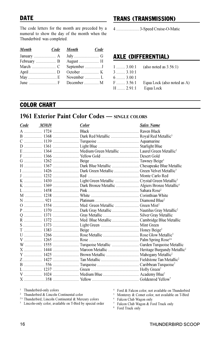## **DATE**

The code letters for the month are preceded by a numeral to show the day of the month when the Thunderbird was completed.

| <b>Month</b> | Code Month | Code |
|--------------|------------|------|
|              |            |      |
|              |            |      |
|              |            |      |
|              |            |      |
|              |            |      |
|              |            |      |

## TRANS (TRANSMISSION)

4 ....................... 3-Speed Cruise-O-Matic

## AXLE (DIFFERENTIAL)

| $1$ 3.00:1       | (also noted as $3.56(1)$ )  |
|------------------|-----------------------------|
| $3$ $3.10:1$     |                             |
| $6 \dots 3.00:1$ |                             |
| $F$ 3.56:1       | Equa Lock (also noted as A) |
| $H$ 2.91:1       | Equa Lock                   |

## COLOR CHART

## 1961 Exterior Paint Color Codes — SINGLE COLORS

| Code | <i>M30J</i> # | <b>Color</b>                                                       | <b>Sales Name</b> |
|------|---------------|--------------------------------------------------------------------|-------------------|
|      |               |                                                                    |                   |
|      |               | B  1368  Dark Red Metallic  Royal Red Metallic <sup>3</sup>        |                   |
|      |               |                                                                    |                   |
|      |               |                                                                    |                   |
|      |               | E  1364  Medium Green Metallic  Laurel Green Metallic <sup>2</sup> |                   |
|      |               |                                                                    |                   |
|      |               |                                                                    |                   |
|      |               |                                                                    |                   |
|      |               |                                                                    |                   |
|      |               |                                                                    |                   |
|      |               |                                                                    |                   |
|      |               |                                                                    |                   |
|      |               |                                                                    |                   |
|      |               |                                                                    |                   |
|      |               |                                                                    |                   |
|      |               |                                                                    |                   |
|      |               |                                                                    |                   |
|      |               |                                                                    |                   |
|      |               |                                                                    |                   |
|      |               |                                                                    |                   |
|      |               |                                                                    |                   |
|      |               |                                                                    |                   |
|      |               |                                                                    |                   |
|      |               |                                                                    |                   |
|      |               |                                                                    |                   |
|      |               |                                                                    |                   |
|      |               |                                                                    |                   |
|      |               |                                                                    |                   |
|      |               |                                                                    |                   |
|      |               |                                                                    |                   |
|      |               |                                                                    |                   |

<sup>1</sup> Thunderbird-only colors

<sup>2</sup> Thunderbird & Lincoln Continental color

<sup>2A</sup> Thunderbird, Lincoln Continental & Mercury colors

<sup>4</sup> Ford & Falcon color, not available on Thunderbird

<sup>5</sup> Monterey & Comet color, not available on T-Bird

<sup>6</sup> Falcon Club Wagon only

<sup>7</sup> Falcon Club Wagon & Ford Truck only

<sup>8</sup> Ford Truck only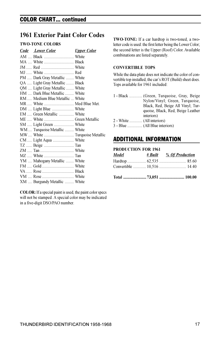### COLOR CHART... continued

## 1961 Exterior Paint Color Codes

#### TWO-TONE COLORS

| Code Lower Color                | <b>Upper Color</b> |
|---------------------------------|--------------------|
|                                 |                    |
| MA  White  Black                |                    |
|                                 |                    |
| MJ  White  Red                  |                    |
| PM  Dark Gray Metallic  White   |                    |
| QA  Light Gray Metallic  Black  |                    |
| OM  Light Gray Metallic  White  |                    |
| HM  Dark Blue Metallic  White   |                    |
| RM  Medium Blue Metallic  White |                    |
| MR  White  Med Blue Met.        |                    |
|                                 |                    |
| EM  Green Metallic  White       |                    |
| ME  White  Green Metallic       |                    |
| SM  Light Green  White          |                    |
| WM  Turquoise Metallic  White   |                    |
|                                 |                    |
| CM  Light Aqua  White           |                    |
|                                 |                    |
|                                 |                    |
|                                 |                    |
| YM  Mahogany Metallic  White    |                    |
|                                 |                    |
|                                 |                    |
|                                 |                    |
| XM  Burgundy Metallic  White    |                    |

COLOR: If a special paint is used, the paint color specs will not be stamped. A special color may be indicated in a five-digit DSO/PAO number.

TWO-TONE: If a car hardtop is two-toned, a twoletter code is used: the first letter being the Lower Color; the second letter is the Upper (Roof) Color. Available combinations are listed separately.

#### CONVERTIBLE TOPS

While the data plate does not indicate the color of convertible top installed, the car's ROT (Build) sheet does. Tops available for 1961 included:

- 1 Black ............. (Green, Turquoise, Gray, Beige Nylon/Vinyl; Green, Turquoise, Black, Red, Beige All Vinyl; Turquoise, Black, Red, Beige Leather interiors) 2 - White ............. (All interiors)
- 3 Blue ............... (All Blue interiors)

## ADDITIONAL INFORMATION

| <b>PRODUCTION FOR 1961</b> |  |                                              |
|----------------------------|--|----------------------------------------------|
| Model                      |  | <u><i><u># Built % Of Production</u></i></u> |
|                            |  |                                              |
|                            |  |                                              |
|                            |  |                                              |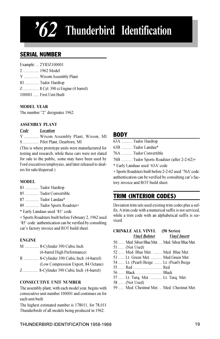## $62$  Thunderbird Identification

## SERIAL NUMBER

Example: ... 2Y83Z100001 2 ................ 1962 Model Y ............... Wixom Assembly Plant 83 .............. Tudor Hardtop Z ................ 8 Cyl. 390 ci Engine (4 barrel) 100001 ...... First Unit Built

#### MODEL YEAR

The number "2" designates 1962.

#### ASSEMBLY PLANT

#### Code Location

Y ............... Wixom Assembly Plant, Wixom, MI S ................ Pilot Plant, Dearborn, MI

(This is where prototype units were manufactured for testing and research; while these cars were not slated for sale to the public, some may have been used by Ford executives/employees, and later released to dealers for sale/dispersal.)

#### MODEL

- 83 .............. Tudor Hardtop
- 85 .............. Tudor Convertible
- 87 .............. Tudor Landau\*
- 89 .............. Tudor Sports Roadster+
- \* Early Landaus used '83' code

+ Sports Roadsters built before February 2, 1962 used '85' code: authentication can be verified by consulting car's factory invoice and ROT build sheet.

#### ENGINE

|  | M  8-Cylinder 390 Cubic Inch            |
|--|-----------------------------------------|
|  | (6-barrel High Performance)             |
|  | R  8-Cylinder 390 Cubic Inch (4-barrel) |
|  | (Low Compression Export, 84 Octane)     |
|  | Z 8-Cylinder 390 Cubic Inch (4-barrel)  |

#### CONSECUTIVE UNIT NUMBER

The assembly plant, with each model year, begins with consecutive unit number 100001 and continues on for each unit built.

The highest estimated number is 178011, for 78,011 Thunderbirds of all models being produced in 1962.

#### **RODY**

| 63A  Tudor Hardtop                                       |
|----------------------------------------------------------|
| 63B  Tudor Landau*                                       |
| 76A  Tudor Convertible                                   |
| 76B  Tudor Sports Roadster (after 2-2-62)+               |
| * Early Landuas used '63A' code                          |
| $+$ Sports Roadsters built before 2-2-62 used '76A' code |

+ Sports Roadsters built before 2-2-62 used '76A' code: authentication can be verified by consulting car's factory invoice and ROT build sheet.

## TRIM (INTERIOR CODES)

Deviation trim sets used existing trim codes plus a suffix. A trim code with a numerical suffix is not serviced, while a trim code with an alphabetical suffix is serviced.

#### CRINKLE ALL VINYL (50 Series) Vinyl Bolster Vinyl Insert

- 50 ...... Med. Silver Blue Met. ... Med. Silver Blue Met.
- 51 ...... (Not Used)
- 52 ...... Med. Blue Met. ......... Med. Blue Met.
- 53 ...... Lt. Green Met. ........... Med.Green Met.
- 54 ...... Lt. (Pearl) Beige ........ Lt. (Pearl) Beige
- 55 ...... Red ............................. Red
- 56 ...... Black .......................... Black
- 57 ...... Lt. Turq. Met. ............ Lt. Turq. Met.
- 58 ...... (Not Used)
- 59 ...... Med. Chestnut Met. ... Med. Chestnut Met.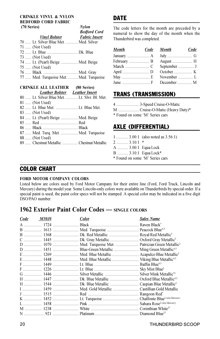#### CRINKLE VINYL & NYLON BEDFORD CORD FABRIC (70 Series) Nylon

| $1.1$ $\mu$ b. U.S. 2.<br><b>Bedford Cord</b> |
|-----------------------------------------------|
| <b>Fabric Insert</b>                          |
| 70  Lt. Silver Blue Met.  Med. Silver         |
|                                               |
|                                               |
|                                               |
| 74  Lt. (Pearl) Beige  Med. Beige             |
|                                               |
|                                               |
| 77  Med. Turquoise Met.  Med. Turquoise       |
|                                               |

#### CRINKLE ALL LEATHER (80 Series)

| Leather Bolster Leather Insert               |  |
|----------------------------------------------|--|
| 80  Lt. Silver Blue Met.  Lt. Slvr. Bl. Met. |  |
| 81  (Not Used)                               |  |
| 82  Lt. Blue Met.    Lt. Blue Met.           |  |
| 83  (Not Used)                               |  |
| 84  Lt. (Pearl) Beige  Med. Beige            |  |
|                                              |  |
|                                              |  |
| 87  Med. Turq. Met.  Med. Turquoise          |  |
| 88  (Not Used)                               |  |
| 89  Chestnut Metallic  Chestnut Metallic     |  |
|                                              |  |

The code letters for the month are preceded by a numeral to show the day of the month when the Thunderbird was completed.

| <b>Month</b>      | Code Month  | Code |
|-------------------|-------------|------|
|                   |             |      |
|                   |             |      |
|                   |             |      |
|                   |             |      |
|                   | November  L |      |
| June $\ldots$ $M$ |             |      |

## TRANS (TRANSMISSION)

DATE

| 4  3-Speed Cruise-O-Matic       |
|---------------------------------|
| M  Cruise-O-Matic (Heavy Duty)* |

\* Found on some 'M' Series cars

## AXLE (DIFFERENTIAL)

|                                 |                      | $1$ 3.00:1 (also noted as 3.56:1) |
|---------------------------------|----------------------|-----------------------------------|
|                                 | $2$ 3.10:1           | - *                               |
|                                 | A  3.00:1 Equa Lock  |                                   |
|                                 | B  3.10:1 Equa Lock* |                                   |
| * Found on some 'M' Series cars |                      |                                   |

## COLOR CHART

#### FORD MOTOR COMPANY COLORS

Listed below are colors used by Ford Motor Campany for their entire line (Ford, Ford Truck, Lincoln and Mercury) during the model year. Some Lincoln-only colors were available on Thunderbirds by special order. If a special paint is used, the paint color specs will not be stamped. A special color may be indicated in a five digit DSO/PAO number.

## 1962 Exterior Paint Color Codes — SINGLE COLORS

| Code | <i>M30J</i> # | <b>Color</b> | <b>Sales Name</b> |
|------|---------------|--------------|-------------------|
|      |               |              |                   |
|      |               |              |                   |
|      |               |              |                   |
|      |               |              |                   |
|      |               |              |                   |
|      |               |              |                   |
|      |               |              |                   |
|      |               |              |                   |
|      |               |              |                   |
|      |               |              |                   |
|      |               |              |                   |
|      |               |              |                   |
|      |               |              |                   |
|      |               |              |                   |
|      |               |              |                   |
|      |               |              |                   |
|      |               |              |                   |
|      |               |              |                   |
|      |               |              |                   |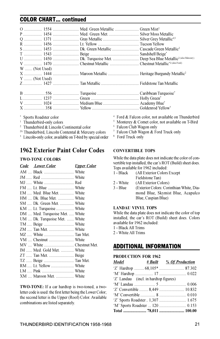## COLOR CHART... continued

|                | U  1450  Dk. Turquoise Met.  Deep Sea Blue Metallic <sup>2 (also Mercury)</sup> |
|----------------|---------------------------------------------------------------------------------|
|                | V  1470 Chestnut Metallic  Chestnut Metallic*2(also Ford)                       |
| W  (Not Used)  |                                                                                 |
|                |                                                                                 |
| $Y$ (Not Used) |                                                                                 |
|                |                                                                                 |
|                |                                                                                 |
|                |                                                                                 |
|                |                                                                                 |
|                |                                                                                 |

\* Sports Roadster color

- <sup>1</sup> Thunderbird-only colors
- <sup>2</sup> Thunderbird & Lincoln Continental color
- 2A Thunderbird, Lincoln Contental & Mercury colors
- <sup>3</sup> Lincoln-only color, available on T-bird by special order

## 1962 Exterior Paint Color Codes

#### TWO-TONE COLORS

| Code Lower Color               | <b>Upper Color</b> |
|--------------------------------|--------------------|
| AM  Black  White               |                    |
|                                |                    |
|                                |                    |
|                                |                    |
|                                |                    |
| HM  Dk. Blue Met.  White       |                    |
| SM  Dk. Green Met.  White      |                    |
| KM  Lt. Turquoise  White       |                    |
| DM  Med. Turquoise Met.  White |                    |
| UM  Dk. Turquoise Met.  White  |                    |
|                                |                    |
|                                |                    |
| MZ  White  Tan Met.            |                    |
|                                |                    |
| MV  White  Chestnut Met.       |                    |
| IM  Med. Gold Met.  White      |                    |
| ZT  Tan Met.  Beige            |                    |
|                                |                    |
| RM  Lt. Yellow  White          |                    |
|                                |                    |
| XM  Maroon Met.  White         |                    |

TWO-TONE: If a car hardtop is two-toned, a twoletter code is used: the first letter being the Lower Color; the second letter is the Upper (Roof) Color. Available combinations are listed separately.

- <sup>4</sup> Ford & Falcon color, not available on Thunderbird
- <sup>5</sup> Monterey & Comet color, not available on T-Bird
- <sup>6</sup> Falcon Club Wagon only
- <sup>7</sup> Falcon Club Wagon & Ford Truck only
- <sup>8</sup> Ford Truck only

#### CONVERTIBLE TOPS

While the data plate does not indicate the color of convertible top installed, the car's ROT (Build) sheet does. Tops available for 1962 included:

- 1 Black (All Exterior Colors Except Fieldstone Tan)
- 2 White (All Exterior Colors)<br>3 Blue (Exterior Colors: Cor
- (Exterior Colors: Corinthian White, Diamond Blue, Skymist Blue, Acapulco Blue, Caspian Blue)

#### LANDAU VINYL TOPS

While the data plate does not indicate the color of top installed, the car's ROT (Build) sheet does. Colors available for 1962 included:

1 - Black All Trims

2 - White All Trims

### ADDITIONAL INFORMATION

#### PRODUCTION FOR 1962

| Model                                 | <u># Built 2% Of Production</u> |
|---------------------------------------|---------------------------------|
|                                       |                                 |
|                                       |                                 |
| 'Z' Landau (incl. in hardtop figures) |                                 |
|                                       |                                 |
|                                       |                                 |
|                                       |                                 |
|                                       |                                 |
|                                       |                                 |
|                                       |                                 |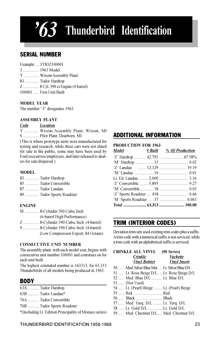## $3$  Thunderbird Identification

## SERIAL NUMBER

| Example:  3Y83Z100001             |
|-----------------------------------|
| 3  1963 Model                     |
| Y  Wixom Assembly Plant           |
| 83  Tudor Hardtop                 |
| Z 8 Cyl. 390 ci Engine (4 barrel) |
| 100001  First Unit Built          |

#### MODEL YEAR

The number "3" designates 1963.

#### ASSEMBLY PLANT

Code Location

Y ............... Wixom Assembly Plant, Wixom, MI S ................ Pilot Plant, Dearborn, MI

(This is where prototype units were manufactured for testing and research; while these cars were not slated for sale to the public, some may have been used by Ford executives/employees, and later released to dealers for sale/dispersal.)

#### MODEL

- 83 .............. Tudor Hardtop
- 85 .............. Tudor Convertible
- 87 .............. Tudor Landau
- 89 .............. Tudor Sports Roadster

#### ENGINE

M .............. 8-Cylinder 390 Cubic Inch (6-barrel High Performance)

Z ................ 8-Cylinder 390 Cubic Inch (4-barrel)

9 ................ 8-Cylinder 390 Cubic Inch (4-barrel) (Low Compression Export, 84 Octane)

#### CONSECUTIVE UNIT NUMBER

The assembly plant, with each model year, begins with consecutive unit number 100001 and continues on for each unit built.

The highest estimated number is 163313, for 63,313 Thunderbirds of all models being produced in 1963.

## **BODY**

| 63A  Tudor Hardtop                                     |
|--------------------------------------------------------|
| 63B  Tudor Landau*                                     |
| 76A  Tudor Convertible                                 |
| 76B  Tudor Sports Roadster                             |
| *(Including Lt. Edition Principality of Monaco series) |

## ADDITIONAL INFORMATION

#### PRODUCTION FOR 1963

|  | Model # Built % Of Production |
|--|-------------------------------|
|  |                               |
|  |                               |
|  | 'Z' Landau  12,129  19.19     |
|  |                               |
|  |                               |
|  |                               |
|  |                               |
|  |                               |
|  |                               |
|  | Total  63,313  100.00         |

## TRIM (INTERIOR CODES)

Deviation trim sets used existing trim codes plus a suffix. A trim code with a numerical suffix is not serviced, while a trim code with an alphabetical suffix is serviced.

| CRINKLE ALL VINYL                              | (50 Series)         |
|------------------------------------------------|---------------------|
| Crinkle                                        | <b>Vachette</b>     |
| <b>Vinyl Bolster</b>                           | <b>Vinyl Insert</b> |
| 50  Med. Silver Blue Met.  Lt. Silver Blue D/L |                     |
| 51  Lt. Rose Beige D/L  Lt. Rose Beige D/L     |                     |
| 52  Med. Blue D/L  Lt. Blue D/L                |                     |
| 53  (Not Used)                                 |                     |
| 54  Lt. (Pearl) Beige  Lt. (Pearl) Beige       |                     |
|                                                |                     |
| 56  Black  Black                               |                     |
| 57  Med. Turq. D/L  Lt. Turq. D/L              |                     |
| 58  Lt. Gold D/L  Lt. Gold D/L                 |                     |
| 59  Med. Chestnut D/L  Med. Chestnut D/L       |                     |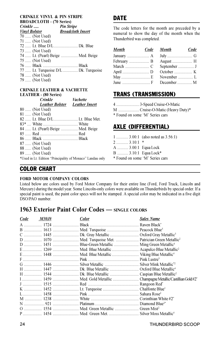### CRINKLE VINYL & PIN STRIPE BROADCLOTH - (70 Series)

| Crinkle                           | Pin Stripe                           |
|-----------------------------------|--------------------------------------|
| <b>Vinyl Bolster</b>              | <b>Broadcloth Insert</b>             |
| 70  (Not Used)                    |                                      |
| 71  (Not Used)                    |                                      |
|                                   |                                      |
| 73  (Not Used)                    |                                      |
| 74  Lt. (Pearl) Beige  Med. Beige |                                      |
| 75  (Not Used)                    |                                      |
|                                   |                                      |
|                                   | 77  Lt. Turquoise D/L  Dk. Turquoise |
| 78  (Not Used)                    |                                      |
| 79  (Not Used)                    |                                      |
|                                   |                                      |

#### CRINKLE LEATHER & VACHETTE LEATHER - (80 Series)

|                | <b>Crinkle</b>                    | <b>Vachette</b>                                           |
|----------------|-----------------------------------|-----------------------------------------------------------|
|                | Leather Bolster Leather Insert    |                                                           |
| 80  (Not Used) |                                   |                                                           |
| 81  (Not Used) |                                   |                                                           |
|                |                                   |                                                           |
|                |                                   |                                                           |
|                | 84  Lt. (Pearl) Beige  Med. Beige |                                                           |
|                | 85  Red          Red              |                                                           |
|                |                                   |                                                           |
| 87  (Not Used) |                                   |                                                           |
| 88  (Not Used) |                                   |                                                           |
| 89  (Not Used) |                                   |                                                           |
|                |                                   | *Used in Lt. Edition "Principality of Monaco" Landau only |
|                |                                   |                                                           |

## **DATE**

The code letters for the month are preceded by a numeral to show the day of the month when the Thunderbird was completed.

| <b>Month</b>      | Code Month          | Code |
|-------------------|---------------------|------|
|                   |                     |      |
|                   |                     |      |
|                   | September  J        |      |
|                   |                     |      |
|                   | November $\ldots$ L |      |
| June $\ldots$ $M$ |                     |      |

## TRANS (TRANSMISSION)

|            | 4  3-Speed Cruise-O-Matic                                  |
|------------|------------------------------------------------------------|
| $\sqrt{ }$ | $\alpha$ , i.e. $\alpha$ M at $\alpha$ T $\alpha$ $\alpha$ |

M ..................... Cruise-O-Matic (Heavy Duty)\*

\* Found on some 'M' Series cars

## AXLE (DIFFERENTIAL)

|                                 |                      | $1$ 3.00:1 (also noted as 3.56:1) |  |
|---------------------------------|----------------------|-----------------------------------|--|
|                                 | $2$ 3.10:1           | *                                 |  |
|                                 | A  3.00:1 Equa Lock  |                                   |  |
|                                 | B  3.10:1 Equa Lock* |                                   |  |
| * Found on some 'M' Series cars |                      |                                   |  |

## COLOR CHART

#### FORD MOTOR COMPANY COLORS

Listed below are colors used by Ford Motor Company for their entire line (Ford, Ford Truck, Lincoln and Mercury) during the model year. Some Lincoln-only colors were available on Thunderbirds by special order. If a special paint is used, the paint color specs will not be stamped. A special color may be indicated in a five digit DSO/PAO number.

## 1963 Exterior Paint Color Codes — SINGLE COLORS

| Code | <i>M30J</i> # | <b>Color</b> | <b>Sales Name</b> |
|------|---------------|--------------|-------------------|
|      |               |              |                   |
|      |               |              |                   |
|      |               |              |                   |
|      |               |              |                   |
|      |               |              |                   |
|      |               |              |                   |
|      |               |              |                   |
|      |               |              |                   |
|      |               |              |                   |
|      |               |              |                   |
|      |               |              |                   |
|      |               |              |                   |
|      |               |              |                   |
|      |               |              |                   |
|      |               |              |                   |
|      |               |              |                   |
|      |               |              |                   |
|      |               |              |                   |
|      |               |              |                   |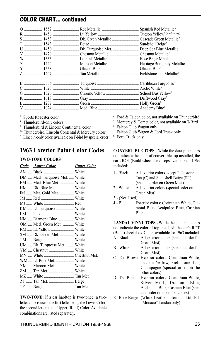## COLOR CHART... continued

Sports Roadster color

- <sup>1</sup> Thunderbird-only colors
- <sup>2</sup> Thunderbird & Lincoln Continental color
- <sup>2A</sup> Thunderbird, Lincoln Contental & Mercury colors
- <sup>3</sup> Lincoln-only color, available on T-bird by special order

## 1963 Exterior Paint Color Codes

#### TWO-TONE COLORS

| Code Lower Color               | <u>Upper Color</u> |
|--------------------------------|--------------------|
| AM  Black  White               |                    |
| DM  Med. Turquoise Met.  White |                    |
| EM  Med. Blue Met.  White      |                    |
| HM , Dk. Blue Met.  White      |                    |
| IM  Met. Gold Met.  White      |                    |
|                                |                    |
| MJ  White  Red                 |                    |
| KM  Lt. Turquoise  White       |                    |
|                                |                    |
| NM  Diamond Blue  White        |                    |
| OM  Med. Green Met.  White     |                    |
|                                |                    |
| SM  Dk. Green Met.  White      |                    |
|                                |                    |
| UM  Dk. Turquoise Met.  White  |                    |
|                                |                    |
|                                |                    |
| WM  Lt. Pink Met.  White       |                    |
| XM  Maroon Met.  White         |                    |
|                                |                    |
| MZ  White  Tan Met.            |                    |
| ZT  Tan Met.  Beige            |                    |
|                                |                    |
|                                |                    |

TWO-TONE: If a car hardtop is two-toned, a twoletter code is used: the first letter being the Lower Color; the second letter is the Upper (Roof) Color. Available combinations are listed separately.

- <sup>4</sup> Ford & Falcon color, not available on Thunderbird
- <sup>5</sup> Monterey & Comet color, not available on T-Bird
- <sup>6</sup> Falcon Club Wagon only
- <sup>7</sup> Falcon Club Wagon & Ford Truck only
- <sup>8</sup> Ford Truck only

CONVERTIBLE TOPS - While the data plate does not indicate the color of convertible top installed, the car's ROT (Build) sheet does. Tops available for 1963 included:

- 1 Black All exterior colors except Fieldstone Tan (C) and Sandshell Beige (SR), (special order on Green Mist)
- 2 White All exterior colors (special order on Green Mist)
- 3 (Not Used)
- Exterior colors: Corinthian White, Diamond Blue, Acalpulco Blue, Caspian Blue

LANDAU VINYL TOPS - While the data plate does not indicate the color of top installed, the car's ROT (Build) sheet does. Colors available for 1963 included: A - Black ......... All exterior colors (special order for

- Green Mist)
- B White ......... All exterior colors (special order for Green Mist)
- C Dk. Brown Exterior colors: Corinthian White, Tucson Yellow, Fieldstone Tan, Champagne (special order on the other colors)
- D Dk. Blue .... Exterior colors: Corinthian White, Silver Mink, Diamond Blue, Acalpulco Blue, Caspian Blue (special order on the other colors)
- E Rose Beige . (White Leather interior Ltd. Ed. "Monaco" Landau only)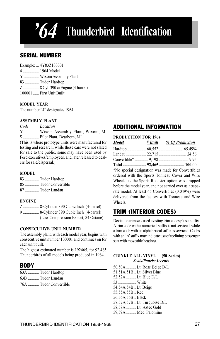## $\mathcal{A}$  Thunderbird Identification

## SERIAL NUMBER

| Example:  4Y83Z100001             |
|-----------------------------------|
| 4  1964 Model                     |
| Y  Wixom Assembly Plant           |
| 83  Tudor Hardtop                 |
| Z 8 Cyl. 390 ci Engine (4 barrel) |
| 100001  First Unit Built          |

#### MODEL YEAR

The number "4" designates 1964.

#### ASSEMBLY PLANT

#### Code Location

Y ............... Wixom Assembly Plant, Wixom, MI S ................ Pilot Plant, Dearborn, MI

(This is where prototype units were manufactured for testing and research; while these cars were not slated for sale to the public, some may have been used by Ford executives/employees, and later released to dealers for sale/dispersal.)

#### MODEL

| 83  Tudor Hardtop     |
|-----------------------|
| 85  Tudor Convertible |
| 87  Tudor Landau      |

#### ENGINE

Z ................ 8-Cylinder 390 Cubic Inch (4-barrel) 9 ................ 8-Cylinder 390 Cubic Inch (4-barrel) (Low Compression Export, 84 Octane)

#### CONSECUTIVE UNIT NUMBER

The assembly plant, with each model year, begins with consecutive unit number 100001 and continues on for each unit built.

The highest estimated number is 192465, for 92,465 Thunderbirds of all models being produced in 1964.

## **BODY**

| 63A  Tudor Hardtop     |
|------------------------|
| 63B  Tudor Landau      |
| 76A  Tudor Convertible |

## ADDITIONAL INFORMATION

| <b>PRODUCTION FOR 1964</b> |  |                                                        |  |  |
|----------------------------|--|--------------------------------------------------------|--|--|
| Model                      |  | <i><u># Built % Of Production</u></i>                  |  |  |
|                            |  |                                                        |  |  |
|                            |  |                                                        |  |  |
|                            |  |                                                        |  |  |
|                            |  |                                                        |  |  |
|                            |  | *No special designation was made for Convertibles      |  |  |
|                            |  | ordered with the Sports Tonneau Cover and Wire         |  |  |
|                            |  | Wheels, as the Sports Roadster option was dropped      |  |  |
|                            |  | before the model year, and not carried over as a sepa- |  |  |
|                            |  | rate model. At least 45 Convertibles (0.049%) were     |  |  |
|                            |  | delivered from the factory with Tonneau and Wire       |  |  |

## TRIM (INTERIOR CODES)

Wheels.

Deviation trim sets used existing trim codes plus a suffix. A trim code with a numerical suffix is not serviced, while a trim code with an alphabetical suffix is serviced. Codes with an 'A' suffix may indicate use of reclining passenger seat with moveable headrest.

#### CRINKLE ALL VINYL (50 Series) Seats/Panels/Accents

50,50A .......... Lt. Rose Beige D/L 51,51A,51B .. Lt. Silver Blue 52,52A .......... Lt. Blue D/L 53 .................. White 54,54A,54B .. Lt. Beige 55,55A,55B .. Red 56,56A,56B .. Black 57,57A,57B .. Lt. Turquoise D/L 58,58A .......... Lt. Aztec Gold 59,59A .......... Med. Palomino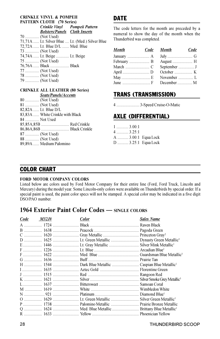#### CRINKLE VINYL & POMPEII PATTERN CLOTH (70 Series) Crinkle Vinyl Pompeii Pattern Bolsters/Panels Cloth Inserts

| 70  (Not Used) |                                 |                                                 |
|----------------|---------------------------------|-------------------------------------------------|
|                |                                 | 71,71A  Lt. Silver Blue  Lt. (Med.) Silver Blue |
|                | 72,72A  Lt. Blue D/L  Med. Blue |                                                 |
| 73  (Not Used) |                                 |                                                 |
|                | 74,74A  Lt. Beige  Lt. Beige    |                                                 |
| 75  (Not Used) |                                 |                                                 |
|                | 76,76A  Black  Black            |                                                 |
| 77  (Not Used) |                                 |                                                 |
| 78  (Not Used) |                                 |                                                 |
| 79  (Not Used) |                                 |                                                 |

#### CRINKLE ALL LEATHER (80 Series) Seats/Panels/Accents

|              | 80  (Not Used)                   |  |
|--------------|----------------------------------|--|
|              | 81  (Not Used)                   |  |
|              | 82,82A  Lt. Blue D/L             |  |
|              | 83,83A  White Crinkle with Black |  |
| 84  Not Used |                                  |  |
|              | 85,85A,85B  Red Crinkle          |  |
|              |                                  |  |
|              | 87  (Not Used)                   |  |
|              | 88  (Not Used)                   |  |
|              | 89,89A  Medium Palomino          |  |
|              |                                  |  |

## **DATE**

The code letters for the month are preceded by a numeral to show the day of the month when the Thunderbird was completed.

| <b>Month</b>                                                                                              | Code Month   | Code |
|-----------------------------------------------------------------------------------------------------------|--------------|------|
|                                                                                                           |              |      |
|                                                                                                           |              |      |
|                                                                                                           | September  J |      |
|                                                                                                           |              |      |
|                                                                                                           |              |      |
| June $\ldots$ $\ldots$ $\ldots$ $\ldots$ $\ldots$ $\ldots$ $\vdots$ December $\ldots$ $\ldots$ $\ldots$ M |              |      |

## TRANS (TRANSMISSION)

4 ....................... 3-Speed Cruise-O-Matic

## AXLE (DIFFERENTIAL)

| $1$ 3.00:1 |                     |
|------------|---------------------|
| $4$ 3.25:1 |                     |
|            | A  3.00:1 Equa Lock |
|            | D  3.25:1 Equa Lock |

## COLOR CHART

#### FORD MOTOR COMPANY COLORS

Listed below are colors used by Ford Motor Company for their entire line (Ford, Ford Truck, Lincoln and Mercury) during the model year. Some Lincoln-only colors were available on Thunderbirds by special order. If a special paint is used, the paint color specs will not be stamped. A special color may be indicated in a five digit DSO/PAO number.

## 1964 Exterior Paint Color Codes — SINGLE COLORS

| Code | <i>M32J</i> # | Color | <b>Sales Name</b> |
|------|---------------|-------|-------------------|
|      |               |       |                   |
|      |               |       |                   |
|      |               |       |                   |
|      |               |       |                   |
|      |               |       |                   |
|      |               |       |                   |
|      |               |       |                   |
|      |               |       |                   |
|      |               |       |                   |
|      |               |       |                   |
|      |               |       |                   |
|      |               |       |                   |
|      |               |       |                   |
|      |               |       |                   |
|      |               |       |                   |
|      |               |       |                   |
|      |               |       |                   |
|      |               |       |                   |
|      |               |       |                   |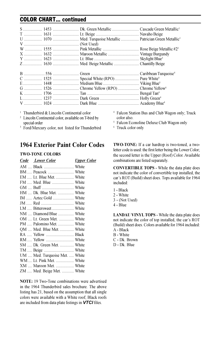## COLOR CHART... continued

<sup>1</sup> Thunderbird & Lincoln Continental color

<sup>2</sup> Lincoln Continental color, available on T-bird by special order

<sup>3</sup> Ford/Mercury color, not listed for Thunderbird

## 1964 Exterior Paint Color Codes

#### TWO-TONE COLORS

| Code Lower Color               | <b>Upper Color</b> |
|--------------------------------|--------------------|
|                                |                    |
|                                |                    |
| EM  Lt. Blue Met.  White       |                    |
| FM  Med. Blue  White           |                    |
|                                |                    |
| HM  Dk. Blue Met.  White       |                    |
|                                |                    |
|                                |                    |
| LM  Bittersweet  White         |                    |
| NM  Diamond Blue  White        |                    |
| OM  Lt. Green Met.  White      |                    |
| PM  Palomino Met.  White       |                    |
| QM  Med. Blue Met.  White      |                    |
|                                |                    |
|                                |                    |
| SM  Dk. Green Met.  White      |                    |
| TM  Beige  White               |                    |
| UM  Med. Turquoise Met.  White |                    |
| WM  Lt. Pink Met.  White       |                    |
| XM  Maroon Met.  White         |                    |
| ZM  Med. Beige Met.  White     |                    |
|                                |                    |

NOTE: 19 Two-Tone combinations were advertised in the 1964 Thunderbird sales brochure. The above listing has 21, based on the assumption that all single colors were available with a White roof; Black roofs are included from data plate listings in VTCI files.

<sup>4</sup> Falcon Station Bus and Club Wagon only; Truck color also.

- <sup>5</sup> Falcon Econoline Deluxe Club Wagon only
- <sup>6</sup> Truck color only

TWO-TONE: If a car hardtop is two-toned, a twoletter code is used: the first letter being the Lower Color; the second letter is the Upper (Roof) Color. Available combinations are listed separately.

CONVERTIBLE TOPS - While the data plate does not indicate the color of convertible top installed, the car's ROT (Build) sheet does. Tops available for 1964 included:

- 1 Black
- 2 White
- 3 (Not Used)
- 4 Blue

LANDAU VINYL TOPS - While the data plate does not indicate the color of top installed, the car's ROT (Build) sheet does. Colors available for 1964 included: A - Black

- B White
- C Dk. Brown
- D Dk. Blue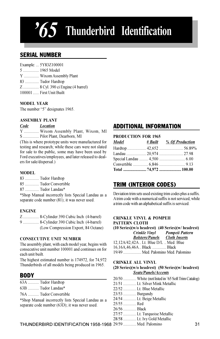## $\overline{5}$  Thunderbird Identification

## SERIAL NUMBER

| Example:  5Y83Z100001             |
|-----------------------------------|
| 5  1965 Model                     |
| Y  Wixom Assembly Plant           |
| 83  Tudor Hardtop                 |
| Z 8 Cyl. 390 ci Engine (4 barrel) |
| 100001  First Unit Built          |

#### MODEL YEAR

The number "5" designates 1965.

#### ASSEMBLY PLANT

#### Code Location

Y ............... Wixom Assembly Plant, Wixom, MI S ................ Pilot Plant, Dearborn, MI

(This is where prototype units were manufactured for testing and research; while these cars were not slated for sale to the public, some may have been used by Ford executives/employees, and later released to dealers for sale/dispersal.)

#### MODEL

- 83 .............. Tudor Hardtop
- 85 .............. Tudor Convertible
- 87 .............. Tudor Landau\*

\*Shop Manual incorrectly lists Special Landau as a separate code number (81); it was never used.

#### ENGINE

| Z 8-Cylinder 390 Cubic Inch (4-barrel)  |  |
|-----------------------------------------|--|
| 9  8-Cylinder 390 Cubic Inch (4-barrel) |  |
| (Low Compression Export, 84 Octane)     |  |

#### CONSECUTIVE UNIT NUMBER

The assembly plant, with each model year, begins with consecutive unit number 100001 and continues on for each unit built.

The highest estimated number is 174972, for 74,972 Thunderbirds of all models being produced in 1965.

## **BODY**

- 63A ........... Tudor Hardtop
- 63B ........... Tudor Landau\*
- 76A ........... Tudor Convertible

\*Shop Manual incorrectly lists Special Landau as a separate code number (63D); it was never used.

## ADDITIONAL INFORMATION

#### PRODUCTION FOR 1965

| Model | # Built % Of Production |
|-------|-------------------------|
|       |                         |
|       | Landau  20.974  27.98   |
|       |                         |
|       |                         |
|       | Total 74,972  100.00    |

## TRIM (INTERIOR CODES)

Deviation trim sets used existing trim codes plus a suffix. A trim code with a numerical suffix is not serviced, while a trim code with an alphabetical suffix is serviced.

#### CRINKLE VINYL & POMPEII PATTERN CLOTH

|                                        | $(10 Series)(w/o$ headrest) $(40 Series)(w/$ headrest) |
|----------------------------------------|--------------------------------------------------------|
|                                        | Crinkle Vinyl Pompeii Pattern                          |
|                                        | <b>Bolsters/Panels</b> Cloth Inserts                   |
| 12,12A/42,42A  Lt. Blue D/L  Med. Blue |                                                        |
| 16.16A, 46, 46A  Black  Black          |                                                        |
| 19/49  Med. Palomino Med. Palomino     |                                                        |

#### CRINKLE ALL VINYL

#### (20 Series)(w/o headrest) (50 Series)(w/ headrest) Seats/Panels/Accents

|                 | 20/50  White (not listed in '65 Soft Trim Catalog) |
|-----------------|----------------------------------------------------|
|                 | 21/51  Lt. Silver Mink Metallic                    |
|                 | 22/52  Lt. Blue Metallic                           |
| 23/53  Burgundy |                                                    |
|                 | 24/54  Lt. Beige Metallic                          |
| 25/55  Red      |                                                    |
| 26/56  Black    |                                                    |
|                 |                                                    |

27/57 ............. Lt. Turquoise Metallic

28/58 ............. Lt. Ivy Gold Metallic

THUNDERBIRD IDENTIFICATION 1958-1968 31 29/59 ............. Med. Palomino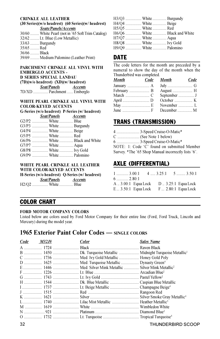#### CRINKLE ALL LEATHER

|                 | $(30$ Series)(w/o headrest) $(60$ Series)(w/ headrest) |
|-----------------|--------------------------------------------------------|
|                 | Seats/Panels/Accents                                   |
|                 | 30/60  White Pearl (not in '65 Soft Trim Catalog)      |
|                 | 32/62  Lt. Blue (Low Metallic)                         |
| 33/63  Burgundy |                                                        |
| $35/65$ Red     |                                                        |
| 36/66  Black    |                                                        |
|                 | 39/69  Medium Palomino (Leather Print)                 |
|                 |                                                        |

#### PARCHMENT CRINKLE ALL VINYL WITH EMBERGLO ACCENTS - D SERIES SPECIAL LANDAU (7D)(w/o headrest) (XD)(w/ headrest) Seat/Panels Accents

7D/XD ............... Parchment ...... Emberglo

#### WHITE PEARL CRINKLE ALL VINYL WITH COLOR-KEYED ACCENTS

|                     | G-Series (w/o headrest) P-Series (w/ headrest) |
|---------------------|------------------------------------------------|
|                     | Seat/Panels Accents                            |
| G2/P2  White  Blue  |                                                |
|                     | G3/P3  White  Burgundy                         |
| G4/P4  White  Beige |                                                |
| G5/P5  White  Red   |                                                |
|                     | G6/P6  White  Black and White                  |
| G7/P7  White  Aqua  |                                                |
|                     | G8/P8  White  Ivy Gold                         |
|                     | G9/P9  White  Palomino                         |

#### WHITE PEARL CRINKLE ALL LEATHER WITH COLOR-KEYED ACCENTS

|                    | H-Series (w/o headrest) O-Series (w/ headrest) |
|--------------------|------------------------------------------------|
| Seat/Panels        | <i>Accents</i>                                 |
| H2/Q2  White  Blue |                                                |

| H3/Q3  White  Burgundy |                               |
|------------------------|-------------------------------|
| H4/Q4  White  Beige    |                               |
| H5/Q5  White  Red      |                               |
|                        | H6/Q6  White  Black and White |
| H7/Q7  White  Aqua     |                               |
| H8/Q8  White  Ivy Gold |                               |
| H9/Q9  White  Palomino |                               |

## **DATE**

The code letters for the month are preceded by a numeral to show the day of the month when the Thunderbird was completed.

| Month       | Code Month                          | Code |
|-------------|-------------------------------------|------|
|             |                                     |      |
| February  B |                                     |      |
|             |                                     |      |
| April  D    | October $\dots \dots \dots \dots$ K |      |
|             |                                     |      |
|             |                                     |      |

## TRANS (TRANSMISSION)

| 4  3-Speed Cruise-O-Matic*                          |
|-----------------------------------------------------|
| C  (See Note 1 below)                               |
| 6  3-Speed Cruise-O-Matic*                          |
| NOTE: 1: Code 'C' found on submitted Member         |
| Survey. *The '65 Shop Manual incorrectly lists '6'. |
|                                                     |

## AXLE (DIFFERENTIAL)

| $1$ 3.00:1 |                                       | $4 \dots 3.25:1 \quad 5 \dots 3.50:1$ |  |
|------------|---------------------------------------|---------------------------------------|--|
| $6$ 2.80:1 |                                       |                                       |  |
|            | A  3.00:1 Equa Lock                   | $D \ldots 3.25:1$ Equa Lock           |  |
|            | E 3.50:1 Equa Lock F 2.80:1 Equa Lock |                                       |  |

### COLOR CHART

#### FORD MOTOR COMPANY COLORS

Listed below are colors used by Ford Motor Company for their entire line (Ford, Ford Truck, Lincoln and Mercury) during the model year.

## 1965 Exterior Paint Color Codes — SINGLE COLORS

| Code | M32J# | Color | <b>Sales Name</b> |
|------|-------|-------|-------------------|
|      |       |       |                   |
|      |       |       |                   |
|      |       |       |                   |
|      |       |       |                   |
|      |       |       |                   |
|      |       |       |                   |
|      |       |       |                   |
|      |       |       |                   |
|      |       |       |                   |
|      |       |       |                   |
|      |       |       |                   |
|      |       |       |                   |
|      |       |       |                   |
|      |       |       |                   |
|      |       |       |                   |

32 THUNDERBIRD SCOOP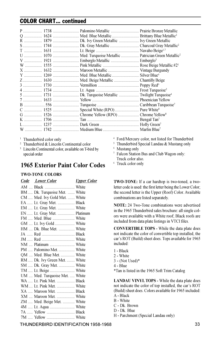## COLOR CHART... continued

<sup>1</sup> Thunderbird color only

<sup>2</sup> Thunderbird & Lincoln Continental color

<sup>3</sup> Lincoln Continental color, available on T-bird by special order

## 1965 Exterior Paint Color Codes

#### TWO-TONE COLORS

| <b>Code</b> Lower Color        | <b>Upper Color</b> |
|--------------------------------|--------------------|
|                                |                    |
| BM  Dk. Turquoise Met.  White  |                    |
| CM  Med. Ivy Gold Met.  White  |                    |
| EA  Lt. Gray Met.  Black       |                    |
| EM  Lt. Gray Met.  White       |                    |
| EN  Lt. Gray Met.  Platinum    |                    |
| FM  Med. Blue  White           |                    |
| GM  Lt. Ivy Gold  White        |                    |
| HM  Dk. Blue Met.  White       |                    |
|                                |                    |
|                                |                    |
|                                |                    |
| PM  Palomino Met.  White       |                    |
| OM  Med. Blue Met.  White      |                    |
| RM  Dk. Ivy Green Met.  White  |                    |
| SM  Dk. Gray Met.  White       |                    |
| TM  Lt. Beige  White           |                    |
| UM  Med. Turquoise Met.  White |                    |
| WA  Lt. Pink Met.  Black       |                    |
| WM  Lt. Pink Met.  White       |                    |
| XA  Maroon Met.  Black         |                    |
| XM  Maroon Met.  White         |                    |
| ZM  Med. Beige Met.  White     |                    |
| 4M  Lt. Aqua  White            |                    |
| 7A  Yellow  Black              |                    |
| 7M  Yellow  White              |                    |

- <sup>4</sup> Ford/Mercury color, not listed for Thunderbird
- <sup>5</sup> Thunderbird Special Landau & Mustang only
- <sup>6</sup> Mustang only
- <sup>7</sup> Falcon Station Bus and Club Wagon only: Truck color also.
- <sup>6</sup> Truck color only

TWO-TONE: If a car hardtop is two-toned, a twoletter code is used: the first letter being the Lower Color; the second letter is the Upper (Roof) Color. Available combinations are listed separately.

NOTE: 24 Two-Tone combinations were advertised in the 1965 Thunderbird sales brochure: all single colors were available with a White roof; Black roofs are included from data plate listings in VTCI files.

CONVERTIBLE TOPS - While the data plate does not indicate the color of convertible top installed, the car's ROT (Build) sheet does. Tops available for 1965 included:

- 1 Black
- 2 White
- 3 (Not Used)\*
- 4 Blue

\*Tan is listed in the 1965 Soft Trim Catalog

LANDAU VINYL TOPS - While the data plate does not indicate the color of top installed, the car's ROT (Build) sheet does. Colors available for 1965 included: A - Black

- B White
- 
- C Dk. Brown

H - Parchment (Special Landau only)

THUNDERBIRD IDENTIFICATION 1958-1968 33

D - Dk. Blue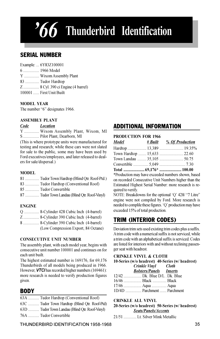## $66$  Thunderbird Identification

## SERIAL NUMBER

| Example:  6Y83Z100001             |
|-----------------------------------|
| 6  1966 Model                     |
| Y  Wixom Assembly Plant           |
| 83  Tudor Hardtop                 |
| Z 8 Cyl. 390 ci Engine (4 barrel) |
| 100001  First Unit Built          |

#### MODEL YEAR

The number "6" designates 1966.

#### ASSEMBLY PLANT

#### Code Location

Y ............... Wixom Assembly Plant, Wixom, MI S ................ Pilot Plant, Dearborn, MI

(This is where prototype units were manufactured for testing and research; while these cars were not slated for sale to the public, some may have been used by Ford executives/employees, and later released to dealers for sale/dispersal.)

#### MODEL

- 81 .............. Tudor Town Hardtop (Blind Qtr. Roof-Ptd.)
- 83 .............. Tudor Hardtop (Conventional Roof)
- 85 .............. Tudor Convertible
- 87 .............. Tudor Town Landau (Blind Qtr. Roof-Vinyl)

#### ENGINE

- Q ............... 8-Cylinder 428 Cubic Inch (4-barrel)
- Z ................ 8-Cylinder 390 Cubic Inch (4-barrel)
- 8 ................ 8-Cylinder 390 Cubic Inch (4-barrel) (Low Compression Export, 84 Octane)

#### CONSECUTIVE UNIT NUMBER

The assembly plant, with each model year, begins with consecutive unit number 100001 and continues on for each unit built.

The highest estimated number is 169176, for 69,176 Thunderbirds of all models being produced in 1966. However, VTCI has recorded higher numbers (169461): more research is needed to verify production figures given.

## **BODY**

|  |  |  | 63A  Tudor Hardtop (Conventional Roof) |  |
|--|--|--|----------------------------------------|--|
|--|--|--|----------------------------------------|--|

63C ........... Tudor Town Hardtop (Blind Qtr. Roof-Ptd)

63D ........... Tudor Town Landau (Blind Qtr. Roof-Vinyl)

76A ........... Tudor Convertible

## ADDITIONAL INFORMATION

#### PRODUCTION FOR 1966

| Model | <i># Built % Of Production</i> |
|-------|--------------------------------|
|       | Hardtop  13,389  19.35%        |
|       |                                |
|       | Town Landau  35,105  50.75     |
|       |                                |
|       | Total 69,176*  100.00          |

\*Production may have exceeded numbers shown, based on recorded Consecutive Unit Numbers higher than the Estimated Highest Serial Number: more research is required to verify.

NOTE: Breakdowns for the optional 'Q' 428/ "7 Litre" engine were not compiled by Ford. More research is needed to complile these figures. 'Q' production may have exceeded 15% of total production.

## TRIM (INTERIOR CODES)

Deviation trim sets used existing trim codes plus a suffix. A trim code with a numerical suffix is not serviced, while a trim code with an alphabetical suffix is serviced. Codes are listed for interiors with and without reclining passenger seat with headrest.

#### CRINKLE VINYL & CLOTH

10-Series (w/o headrest) 40-Series (w/ headrest) Crinkle Vinvl Bolsters/Panels Inserts

| 12/42  Dk. Blue D/L. Dk. Blue |  |
|-------------------------------|--|
| 16/46  Black  Black           |  |
| 17/46  Aqua  Aqua             |  |
| 1D/4D  Parchment  Parchment   |  |

#### CRINKLE ALL VINYL

20-Series (w/o headrest) 50-Series (w/ headrest) Seats/Panels/Accents

21/51 ............. Lt. Silver Mink Metallic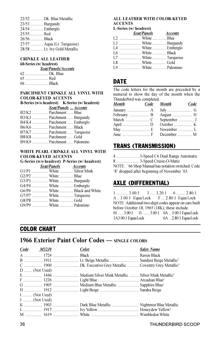|                 | 22/52  Dk. Blue Metallic     |
|-----------------|------------------------------|
| 23/53  Burgundy |                              |
| 24/54  Emberglo |                              |
| 25/55  Red      |                              |
| 26/56  Black    |                              |
|                 | 27/57  Aqua (Lt. Turquoise)  |
|                 | 28/58  Lt. Ivy Gold Metallic |

#### CRINKLE ALL LEATHER

#### 60-Series (w/ headrest)

| Seat/Panels/Accents |
|---------------------|
|                     |
| 65  Red             |
|                     |

#### PARCHMENT CRINKLE ALL VINYL WITH COLOR-KEYED ACCENTS

| <b>B-Series (w/o headrest)</b> K-Series (w/ headrest) |
|-------------------------------------------------------|
| Seat/Panels  Accents                                  |
| B2/K2  Parchment  Blue                                |
|                                                       |
| B4/K4  Parchment  Emberglo                            |
| B6/K6  Parchment  Black                               |
| B7/K7  Parchment  Turquoise                           |
| B8/K8  Parchment  Gold                                |
| B9/K9  Parchment  Palomino                            |
|                                                       |

#### WHITE PEARL CRINKLE ALL VINYL WITH COLOR-KEYED ACCENTS G-Series (w/o headrest) P-Series (w/ headrest)

|                         |                     | G-Series (W/0 neadrest) P-Series (W/ neadrest) |
|-------------------------|---------------------|------------------------------------------------|
|                         | Seat/Panels Accents |                                                |
|                         |                     | G1/P1  White  Silver Mink                      |
| G2/P2  White  Blue      |                     |                                                |
| G3/P3  White  Burgundy  |                     |                                                |
| G4/P4  White  Emberglo  |                     |                                                |
|                         |                     | G6/P6  White  Black and White                  |
| G7/P7  White  Turquoise |                     |                                                |
| G8/P8  White  Gold      |                     |                                                |
| G9/P9  White  Palomino  |                     |                                                |
|                         |                     |                                                |

#### ALL LEATHER WITH COLOR-KEYED ACCENTS

#### L-Series (w/ headrest)

| Seat/Panels <i>Accents</i> |  |
|----------------------------|--|
| L2  White  Blue            |  |
| L3  White  Burgundy        |  |
| L4  White  Emberglo        |  |
| L6  White  Black           |  |
| L7  White  Turquoise       |  |
| L8  White  Gold            |  |
| L9  White  Palomino        |  |
|                            |  |

## DATE

The code letters for the month are preceded by a numeral to show the day of the month when the Thunderbird was completed.

| <b>Month</b> | Code Month                          | Code |
|--------------|-------------------------------------|------|
|              |                                     |      |
|              |                                     |      |
|              | September  J                        |      |
|              | October $\dots \dots \dots \dots$ K |      |
|              | November  L                         |      |
|              |                                     |      |

## TRANS (TRANSMISSION)

| 4  3-Speed C6 Dual Range Automatic                |
|---------------------------------------------------|
|                                                   |
| NOTE: '66 Shop Manual has notation switched. Code |
| '8' dropped after beginning of November '65.      |

## AXLE (DIFFERENTIAL)

 $1$  ............ 3.00:1 3 ..... 3.20:1 6 ......... 2.80:1 A .. 3.00:1 Equa Lock F ... 2.80:1 Equa Lock NOTE: Additional two-digit codes appear on cars built before October 18, 1965 (18K); these include: 01 ..... 3.00:1 11 ...... 3.00:1 0A .. 3.00:1 Equa-Lock<br>1A3.00:1 Equa-Lock 6A .. 2.80:1 Equa-Lock 1A3.00:1 Equa-Lock 6A .. 2.80:1 Equa-Lock

## COLOR CHART

## 1966 Exterior Paint Color Codes — SINGLE COLORS

| $Code$ $M32J#$ | <b>Color</b> | <b>Sales Name</b>                                         |
|----------------|--------------|-----------------------------------------------------------|
|                |              |                                                           |
|                |              |                                                           |
|                |              |                                                           |
| $D$ (Not Used) |              |                                                           |
|                |              |                                                           |
|                |              |                                                           |
|                |              | G  1905  Medium Blue Metallic  Sapphire Blue <sup>1</sup> |
|                |              |                                                           |
| $I$ (Not Used) |              |                                                           |
| $J$ (Not Used) |              |                                                           |
|                |              |                                                           |
|                |              |                                                           |
|                |              |                                                           |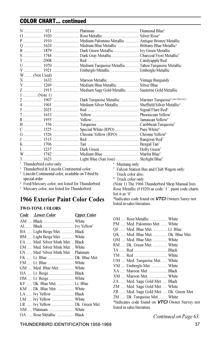## COLOR CHART... continued

| R  1879  Dark Green Metallic  Ivy Green Metallic                                |                               |                                                      |
|---------------------------------------------------------------------------------|-------------------------------|------------------------------------------------------|
|                                                                                 |                               |                                                      |
|                                                                                 |                               |                                                      |
|                                                                                 |                               |                                                      |
|                                                                                 |                               |                                                      |
| W  (Not Used)                                                                   |                               |                                                      |
|                                                                                 |                               |                                                      |
|                                                                                 |                               |                                                      |
|                                                                                 |                               |                                                      |
| $1$ (Note 1)                                                                    |                               |                                                      |
| 2  1907  Dark Turquoise Metallic  Mariner Turquoise <sup>2 (also Mercury)</sup> |                               |                                                      |
|                                                                                 |                               |                                                      |
|                                                                                 |                               |                                                      |
|                                                                                 |                               |                                                      |
|                                                                                 |                               |                                                      |
|                                                                                 |                               |                                                      |
|                                                                                 |                               |                                                      |
|                                                                                 |                               |                                                      |
|                                                                                 |                               |                                                      |
|                                                                                 |                               |                                                      |
|                                                                                 |                               |                                                      |
|                                                                                 |                               |                                                      |
|                                                                                 |                               |                                                      |
| <sup>1</sup> Thunderbird color only                                             | <sup>6</sup> Mustang only     |                                                      |
| <sup>2</sup> Thunderbird & Lincoln Continental color                            |                               | <sup>7</sup> Falcon Station Bus and Club Wagon only: |
| <sup>3</sup> Lincoln Continental color, available on T-bird by                  | Truck color also.             |                                                      |
| special order                                                                   | <sup>8</sup> Truck color only |                                                      |
| <sup>4</sup> Ford/Mercury color, not listed for Thunderbird                     |                               | (Note 1) The 1966 Thunderbird Shop Manual lists      |

<sup>5</sup> Mercury color, not listed for Thunderbird

## 1966 Exterior Paint Color Codes

#### TWO-TONE COLORS

| Code Lower Color                    | <b>Upper Color</b> |
|-------------------------------------|--------------------|
|                                     |                    |
|                                     |                    |
| BA  Light Beige Met.  Black         |                    |
| BM  Light Beige Met.  White         |                    |
| EA  Med. Silver Mink Met.  Black    |                    |
| EM  Med. Silver Mink Met.  White    |                    |
| EN  Med. Silver Mink Met.  Platinum |                    |
| FK  Lt. Blue  Dk. Blue Met.         |                    |
|                                     |                    |
| GM  Med. Blue Met.  White           |                    |
| HA  Lt. Beige  Black                |                    |
|                                     |                    |
| KF  Dk. Blue Met.  Lt. Blue         |                    |
| KM  Dk. Blue Met.  White            |                    |
| LA  Ivy Yellow  Black               |                    |
|                                     |                    |
| LR  Ivy Yellow  Dk. Green Met.      |                    |
| NM  Platinum  White                 |                    |
| OA  Rose Metallic  Black            |                    |

OM .... Rose Metallic ................. White PM ..... Med. Palomino Met. ...... White QF ...... Med. Blue Met. .............. Lt. Blue QK ..... Med. Blue Met. .............. Dk. Blue Met. QM .... Med. Blue Met. .............. White RM ..... Dk. Green Met. .............. White TA ...... Red ................................. Black TM ..... Red ................................. White UM .... Med. Turquoise Met. ..... White VM .... Emberglo Met. ............... White XA ..... Maroon Met. .................. Black XM .... Maroon Met. .................. White ZA ...... Med. Sage Gold Met. .... Black ZM ..... Med. Sage Gold Met. .... White ZR ...... Med. Sage Gold Met. .... Dk. Green Met. 2M ..... Dk. Turquoise Met. ....... White \*Indicates code found on VTCI Owner Survey not

Rose Metallic (#1920) as code '1': paint code charts

\*Indicates code found on VTCI Owners Surey not

list it as '0'.

listed in sales literature.

listed in sales literature.

Continued on Page 63.

THUNDERBIRD IDENTIFICATION 1958-1968 37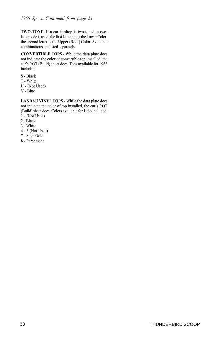TWO-TONE: If a car hardtop is two-toned, a twoletter code is used: the first letter being the Lower Color; the second letter is the Upper (Roof) Color. Available combinations are listed separately.

CONVERTIBLE TOPS - While the data plate does not indicate the color of convertible top installed, the car's ROT (Build) sheet does. Tops available for 1966 included:

- S Black
- T White
- U (Not Used)
- V Blue

LANDAU VINYL TOPS - While the data plate does not indicate the color of top installed, the car's ROT (Build) sheet does. Colors available for 1966 included:

- 1 (Not Used)
- 2 Black
- 3 White
- 4 6 (Not Used)
- 7 Sage Gold
- 8 Parchment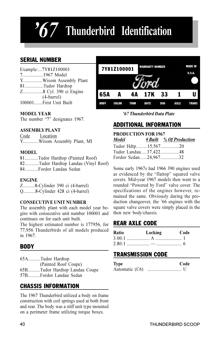## $67$  Thunderbird Identification

## SERIAL NUMBER

| Example:7Y81Z100001    |
|------------------------|
| 71967 Model            |
| YWixom Assembly Plant  |
| 81Tudor Hardtop        |
| Z8 Cyl. 390 ci Engine  |
| $(4\t-bar)$            |
| 100001First Unit Built |

#### MODEL YEAR

The number "7" designates 1967.

#### ASSEMBLY PLANT

Code Location Y.............Wixom Assembly Plant, MI

#### MODEL

81...........Tudor Hardtop (Painted Roof) 82............Tudor Hardtop Landau (Vinyl Roof) 84...........Fordor Landau Sedan

#### ENGINE

Z..........8-Cylinder 390 ci (4-barrel) Q..........8-Cylinder 428 ci (4-barrel)

#### CONSECUTIVE UNIT NUMBER

The assembly plant with each model year begins with consecutive unit number 100001 and continues on for each unit built.

The highest estimated number is 177956, for 77,956 Thunderbirds of all models produced in 1967.

### BODY

65A..........Tudor Hardtop (Painted Roof Coupe) 65B..........Tudor Hardtop Landau Coupe 57B..........Fordor Landau Sedan

## CHASSIS INFORMATION

The 1967 Thunderbird utilized a body on frame construction with coil springs used at both front and rear. The body was a stiff unit type mounted on a perimeter frame utilizing torque boxes.



'67 Thunderbird Data Plate

## ADDITIONAL INFORMATION

#### PRODUCTION FOR 1967 Model # Built % Of Production Tudor Hdtp.........15,567...............20 Tudor Landau.....37,422...............48 Fordor Sedan......24,967...............32

Some early 1967s had 1966 390 engines used as evidenced by the "flattop" squared valve covers. Mid-year 1967 models then went to a rounded "Powered by Ford" valve cover. The specifications of the engines however, remained the same. Obviously during the production changeover, the '66 engines with the square valve covers were simply placed in the then new body/chassis.

## REAR AXLE CODE

| Ratio | Locking | - Code |
|-------|---------|--------|
|       |         |        |
|       |         |        |

## TRANSMISSION CODE

| Type           | Code |
|----------------|------|
| Automatic (C6) |      |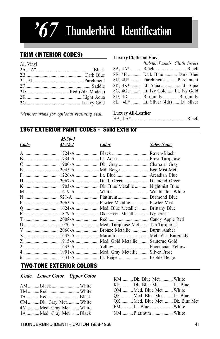## $57$  Thunderbird Identification

## TRIM (INTERIOR CODES)

| All Vinyl |  |
|-----------|--|
|           |  |
|           |  |
|           |  |
|           |  |
|           |  |
|           |  |
|           |  |
|           |  |

\*denotes trims for optional reclining seat.

#### Luxury Cloth and Vinyl

|  | Bolster/Panels Cloth Insert           |  |
|--|---------------------------------------|--|
|  | 8A, 4A*  Black  Black                 |  |
|  | 8B, 4B  Dark Blue  Dark Blue          |  |
|  | 8U, 4U*  Parchment  Parchment         |  |
|  | 8K, 4K*  Lt. Aqua  Lt. Aqua           |  |
|  | 8G, 4G  Lt. Ivy Gold  Lt. Ivy Gold    |  |
|  | 8D, 4D  Burgundy  Burgundy            |  |
|  | 8L, 4L*  Lt. Silver (4dr)  Lt. Silver |  |
|  |                                       |  |

#### Luxury All-Leather

HA, LA\* ................................................ Black

### 1967 EXTERIOR PAINT CODES - Solid Exterior

| Code | M-30-J<br>M-32-J | <b>Color</b>                                | Sales-Name |
|------|------------------|---------------------------------------------|------------|
|      |                  |                                             |            |
|      |                  |                                             |            |
|      |                  |                                             |            |
|      |                  |                                             |            |
|      |                  |                                             |            |
|      |                  |                                             |            |
|      |                  |                                             |            |
|      |                  |                                             |            |
|      |                  |                                             |            |
|      |                  |                                             |            |
|      |                  |                                             |            |
|      |                  |                                             |            |
|      |                  |                                             |            |
|      |                  |                                             |            |
|      |                  |                                             |            |
|      |                  |                                             |            |
|      |                  |                                             |            |
|      |                  |                                             |            |
|      |                  | 4  1901-A  Med. Gray Metallic  Silver Frost |            |
|      |                  | 6  1631-A  Lt. Beige  Pebble Beige          |            |

## TWO-TONE EXTERIOR COLORS

### Code Lower Color Upper Color

| CM Dk. Gray Met.  White   |  |
|---------------------------|--|
| 4M Med. Gray Met. White   |  |
| 4A  Med. Gray Met.  Black |  |

| KM Dk. Blue Met.  White         |  |
|---------------------------------|--|
| KF Dk. Blue Met. Lt. Blue       |  |
| OM Med. Blue Met.  White        |  |
| QF Med. Blue Met. Lt. Blue      |  |
| OK Med. Blue Met. Dk. Blue Met. |  |
| FM Lt. Blue  White              |  |
| NM Platinum  White              |  |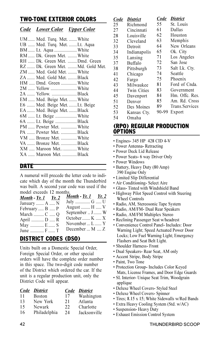## TWO-TONE EXTERIOR COLORS

### Code Lower Color Upper Color

| UM  Med. Turq. Met.  White        |  |
|-----------------------------------|--|
| UB  Med. Turq. Met. Lt. Aqua      |  |
| BM  Lt. Aqua  White               |  |
| RM  Dk. Green Met. White          |  |
| RH  Dk. Green Met. Dmd. Green     |  |
| RZ  Dk. Green Met.  Md. Gold Met. |  |
| ZM  Med. Gold Met.  White         |  |
| ZA  Med. Gold Met. Black          |  |
| HM  Dmd. Green  White             |  |
| 2M  Yellow  White                 |  |
|                                   |  |
| EM  Med. Beige Met.  White        |  |
| E6  Med. Beige Met. Lt. Beige     |  |
| EA  Med. Beige Met.  Black        |  |
| 6M  Lt. Beige  White              |  |
| 6A  Lt. Beige Black               |  |
| PM  Pewter Met.  White            |  |
| PA  Pewter Met. Black             |  |
| VM  Bronze Met.  White            |  |
| VA  Bronze Met. Black             |  |
| XM  Maroon Met White              |  |
| XA  Maroon Met. Black             |  |
|                                   |  |

#### DATE

A numeral will precede the letter code to indicate which day of the month the Thunderbird was built. A second year code was used if the model exceeds 12 months.

| Month - $Yr. 1$ Yr. 2 |
|-----------------------|
| July  G  U            |
| August  H  V          |
| September  J  W       |
| October  K  X         |
| November  L  Y        |
| December $M$ $Z$      |
|                       |

## DISTRICT CODES (DSO)

Units built on a Domestic Special Order, Foreign Special Order, or other special orders will have the complete order number in this space. The two-digit code number of the District which ordered the car. If the unit is a regular production unit, only the District Code will appear.

|    | Code District |    | Code District |
|----|---------------|----|---------------|
| 11 | <b>Boston</b> | 17 | Washington    |
| 13 | New York      | 21 | Atlanta       |
| 15 | Newark        | 22 | Charlotte     |
| 16 | Philadelphia  | 24 | Jacksonville  |

| Code | <b>District</b>    | Code  | District        |
|------|--------------------|-------|-----------------|
| 25   | Richmond           | 55    | St. Louis       |
| 27   | Cincinnati         | 61    | Dallas          |
| 28   | Louisville         | 62    | Houston         |
| 32   | Cleveland          | 63    | Memphis         |
| 33   | Detroit            | 64    | New Orleans     |
| 34   | Indianapolis       | 65    | Ok. City        |
| 35   | Lansing            | 71    | Los Angeles     |
| 37   | Buffalo            | 72    | San Jose        |
| 38   | Pittsburgh         | 73    | Salt Lk. Ctv.   |
| 41   | Chicago            | 74    | Seattle         |
| 42   | Fargo              | 75    | Phoenix         |
| 43   | Milwaukee          | 81    | Ford of Cnda.   |
| 44   | <b>Twin Cities</b> | 83    | Government      |
| 45   | Davenport          | 84    | Hm. Offe. Res.  |
| 51   | Denver             | 85    | Am. Rd. Cross   |
| 52   | Des Moines         | 89    | Trans. Services |
| 53   | Kansas Cty.        | 90-99 | Export          |
| 54   | Omaha              |       |                 |

## (RPO) REGULAR PRODUCTION **OPTIONS**

- Engines- 345 HP 428 CID 4-V
- Power Antenna- Retracting
- Power Deck Lid Release
- Power Seats- 6 way Driver Only
- Power Windows
- Battery, Heavy Duty (80 Amp)
- 390 Engine Only • Limited Slip Differential
- Air Conditioning- Select Aire
- Glass- Tinted with Windshield Band
- Highway Pilot Speed Control with Steering Wheel Controls
- Radio, AM, Stereosonic Tape System
- Radio, AM/FM- Dual Rear Speakers
- Radio, AM/FM Multiplex Stereo
- Reclining Passenger Seat w/headrest
- Convenience Control Panel- Includes: Door Warning Light; Speed Actuated Power Door Locks; Low Fuel Warning Light; Emergency Flashers and Seat Belt Light.
- Shoulder Harness- Front
- Dual Speakers- Rear Seat, AM only
- Accent Stripe, Body Stripe
- Paint, Two Tone
- Protection Group- Includes Color Keyed Mats, License Frames, and Door Edge Guards
- SL Interior- Unique Seat Trim, Woodgrain applique
- Deluxe Wheel Covers- Styled Steel
- Deluxe Wheel Covers- Spinner
- Tires; 8.15 x 15; White Sidewalls w/Red Bands
- Extra Heavy Cooling System (Std. w/AC)
- Suspension- Heavy Duty
- Exhaust Emission Control System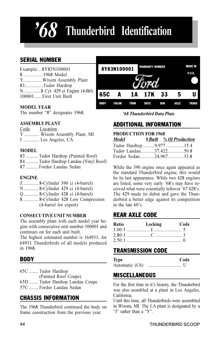## Thunderbird Identification

## SERIAL NUMBER

| Example:8Y83N100001    |
|------------------------|
| 81968 Model            |
| YWixom Assembly Plant  |
| 83Tudor Hardtop        |
|                        |
| 100001First Unit Built |

#### MODEL YEAR

The number "8" designates 1968.

#### ASSEMBLY PLANT

Code Location Y ............. Wixom Assembly Plant, MI J .............. Los Angeles, CA

#### MODEL.

83 ........... Tudor Hardtop (Painted Roof)

- 84 ........... Tudor Hardtop Landau (Vinyl Roof)
- 87 ........... Fordor Landau Sedan

#### ENGINE

- Z ............. 8-Cylinder 390 ci (4-barrel)
- N ............ 8-Cylinder 429 ci (4-barrel)
- Q ............ 8-Cylinder 428 ci (4-barrel)
- 8 ............. 8-Cylinder 428 Low Compression (4-barrel for export)

#### CONSECUTIVE UNIT NUMBER

The assembly plant with each model year begins with consecutive unit number 100001 and continues on for each unit built.

The highest estimated number is 164931, for 64931 Thunderbirds of all models produced in 1968.

## **BODY**

65C ........ Tudor Hardtop (Painted Roof Coupe) 65D ........ Tudor Hardtop Landau Coupe 57C ........ Fordor Landau Sedan

## CHASSIS INFORMATION

The 1968 Thunderbird continued the body on frame construction from the previous year.



'68 Thunderbird Data Plate

## ADDITIONAL INFORMATION

#### PRODUCTION FOR 1968

| Model | # Built % Of Production |
|-------|-------------------------|
|       | Tudor Hardtop9,97715.4  |
|       | Tudor Landau37,42250.8  |
|       | Fordor Sedan24,96733.8  |

While the 390 engine once again appeared as the standard Thunderbird engine, this would be its last appearance. While two 428 engines are listed, some very early '68's may have received what were essentially leftover '67 428's. The 429 made its debut and gave the Thunderbird a better edge against its competition in the late 60's.

## REAR AXLE CODE

| Ratio | Locking | Code |
|-------|---------|------|
|       |         |      |
|       |         |      |
|       |         |      |

## TRANSMISSION CODE

| Type           | Code |  |
|----------------|------|--|
| Automatic (C6) |      |  |

## **MISCELLANEOUS**

For the first time in it's history, the Thunderbird was also assmbled at a plant in Los Angeles, California.

Until this time, all Thunderbirds were assembled in Wixom, MI. The LA plant is designated by a "J" rather than a "Y".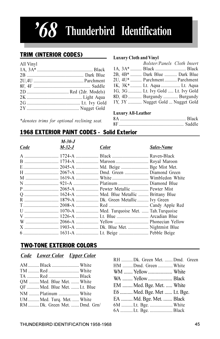## $8$  Thunderbird Identification

## TRIM (INTERIOR CODES)

| All Vinyl |  |
|-----------|--|
|           |  |
|           |  |
|           |  |
|           |  |
|           |  |
|           |  |
|           |  |
|           |  |
|           |  |

#### Luxury Cloth and Vinyl

| Bolster/Panels Cloth Insert        |  |
|------------------------------------|--|
| 1A, 3A*  Black  Black              |  |
| 2B, 4B*  Dark Blue  Dark Blue      |  |
| 2U, 4U*  Parchment  Parchment      |  |
| 1K, 3K*  Lt. Aqua  Lt. Aqua        |  |
| 1G, 3G  Lt. Ivy Gold  Lt. Ivy Gold |  |
| 8D, 4D  Burgundy  Burgundy         |  |
| 1Y, 3Y  Nugget Gold  Nugget Gold   |  |

\*denotes trims for optional reclining seat.

#### Luxury All-Leather

| 8A        |        |
|-----------|--------|
| <b>8F</b> | Saddle |

## 1968 EXTERIOR PAINT CODES - Solid Exterior

|      | $M-30-J$ |                                          |            |
|------|----------|------------------------------------------|------------|
| Code | M-32-J   | <b>Color</b>                             | Sales-Name |
|      |          |                                          |            |
|      |          | B  1734-A  Maroon  Royal Maroon          |            |
|      |          |                                          |            |
|      |          |                                          |            |
|      |          |                                          |            |
|      |          |                                          |            |
|      |          |                                          |            |
|      |          |                                          |            |
|      |          | R  1879-A  Dk. Green Metallic  Ivy Green |            |
|      |          |                                          |            |
|      |          |                                          |            |
|      |          |                                          |            |
|      |          |                                          |            |
|      |          |                                          |            |
|      |          |                                          |            |

## TWO-TONE EXTERIOR COLORS

#### Code Lower Color Upper Color

| OM  Med. Blue Met.  White    |  |
|------------------------------|--|
| QF  Med. Blue Met.  Lt. Blue |  |
| NM Platinum  White           |  |
| UM  Med. Turq. Met.  White   |  |
| RM Dk. Green Met. Dmd. Grn/  |  |

| RH Dk. Green Met. Dmd. Green |  |
|------------------------------|--|
| HM Dmd. Green  White         |  |
| WM  Yellow  White            |  |
| WA  Yellow  Black            |  |
| EM  Med. Bge. Met.  White    |  |
| E6  Med. Bge. Met  Lt. Bge.  |  |
| EA  Md. Bge. Met.  Black     |  |
| 6M Lt. Bge.  White           |  |
|                              |  |